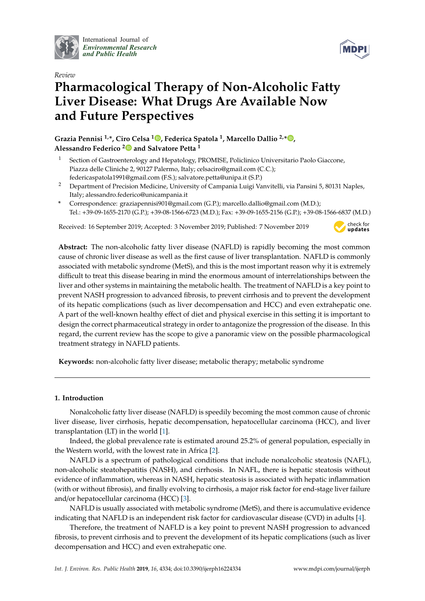

International Journal of *[Environmental Research](http://www.mdpi.com/journal/ijerph) and Public Health*



# *Review* **Pharmacological Therapy of Non-Alcoholic Fatty Liver Disease: What Drugs Are Available Now and Future Perspectives**

**Grazia Pennisi 1,\*, Ciro Celsa [1](https://orcid.org/0000-0002-5662-2162) , Federica Spatola <sup>1</sup> , Marcello Dallio 2,[\\*](https://orcid.org/0000-0003-4153-815X) , Alessandro Federico [2](https://orcid.org/0000-0002-0885-0793) and Salvatore Petta <sup>1</sup>**

- Section of Gastroenterology and Hepatology, PROMISE, Policlinico Universitario Paolo Giaccone, Piazza delle Cliniche 2, 90127 Palermo, Italy; celsaciro@gmail.com (C.C.); federicaspatola1991@gmail.com (F.S.); salvatore.petta@unipa.it (S.P.)
- <sup>2</sup> Department of Precision Medicine, University of Campania Luigi Vanvitelli, via Pansini 5, 80131 Naples, Italy; alessandro.federico@unicampania.it
- **\*** Correspondence: graziapennisi901@gmail.com (G.P.); marcello.dallio@gmail.com (M.D.); Tel.: +39-09-1655-2170 (G.P.); +39-08-1566-6723 (M.D.); Fax: +39-09-1655-2156 (G.P.); +39-08-1566-6837 (M.D.)

Received: 16 September 2019; Accepted: 3 November 2019; Published: 7 November 2019



**Abstract:** The non-alcoholic fatty liver disease (NAFLD) is rapidly becoming the most common cause of chronic liver disease as well as the first cause of liver transplantation. NAFLD is commonly associated with metabolic syndrome (MetS), and this is the most important reason why it is extremely difficult to treat this disease bearing in mind the enormous amount of interrelationships between the liver and other systems in maintaining the metabolic health. The treatment of NAFLD is a key point to prevent NASH progression to advanced fibrosis, to prevent cirrhosis and to prevent the development of its hepatic complications (such as liver decompensation and HCC) and even extrahepatic one. A part of the well-known healthy effect of diet and physical exercise in this setting it is important to design the correct pharmaceutical strategy in order to antagonize the progression of the disease. In this regard, the current review has the scope to give a panoramic view on the possible pharmacological treatment strategy in NAFLD patients.

**Keywords:** non-alcoholic fatty liver disease; metabolic therapy; metabolic syndrome

## **1. Introduction**

Nonalcoholic fatty liver disease (NAFLD) is speedily becoming the most common cause of chronic liver disease, liver cirrhosis, hepatic decompensation, hepatocellular carcinoma (HCC), and liver transplantation (LT) in the world [\[1\]](#page-18-0).

Indeed, the global prevalence rate is estimated around 25.2% of general population, especially in the Western world, with the lowest rate in Africa [\[2\]](#page-18-1).

NAFLD is a spectrum of pathological conditions that include nonalcoholic steatosis (NAFL), non-alcoholic steatohepatitis (NASH), and cirrhosis. In NAFL, there is hepatic steatosis without evidence of inflammation, whereas in NASH, hepatic steatosis is associated with hepatic inflammation (with or without fibrosis), and finally evolving to cirrhosis, a major risk factor for end-stage liver failure and/or hepatocellular carcinoma (HCC) [\[3\]](#page-18-2).

NAFLD is usually associated with metabolic syndrome (MetS), and there is accumulative evidence indicating that NAFLD is an independent risk factor for cardiovascular disease (CVD) in adults [\[4\]](#page-18-3).

Therefore, the treatment of NAFLD is a key point to prevent NASH progression to advanced fibrosis, to prevent cirrhosis and to prevent the development of its hepatic complications (such as liver decompensation and HCC) and even extrahepatic one.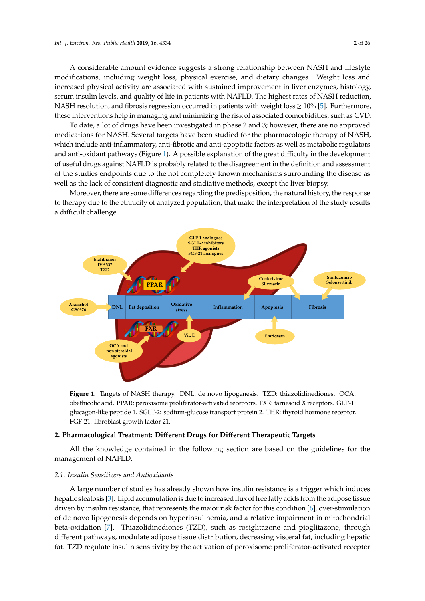A considerable amount evidence suggests a strong relationship between NASH and lifestyle modifications, including weight loss, physical exercise, and dietary changes. Weight loss and increased physical activity are associated with sustained improvement in liver enzymes, histology, serum insulin levels, and quality of life in patients with NAFLD. The highest rates of NASH reduction, NASH resolution, and fibrosis regression occurred in patients with weight  $loss \geq 10\%$  [\[5\]](#page-18-4). Furthermore, these interventions help in managing and minimizing the risk of associated comorbidities, such as CVD. comorbidities, such as CVD.

To date, a lot of drugs have been investigated in phase 2 and 3; however, there are no approved To date, a lot of drugs have been investigated in phase 2 and 3; however, there are no approved medications for NASH. Several targets have been studied for the pharmacologic therapy of NASH, medications for NASH. Several targets have been studied for the pharmacologic therapy of NASH, which include anti-inflammatory, anti-fibrotic and anti-apoptotic factors as well as metabolic regulators which include anti-inflammatory, anti-fibrotic and anti-apoptotic factors as well as metabolic and anti-oxidant path[way](#page-1-0)s (Figure 1). A possible explanation of the great difficulty in the development of useful drugs against NAFLD is probably related to the disagreement in the definition and assessment of the studies endpoints due to the not completely known mechanisms surrounding the disease as well as the lack of consistent diagnostic and stadiative methods, except the liver biopsy.

Moreover, there are some differences regarding the predisposition, the natural history, the response Moreover, there are some differences regarding the predisposition, the natural history, the to therapy due to the ethnicity of analyzed population, that make the interpretation of the study results a difficult challenge.

<span id="page-1-0"></span>

**Figure 1.** Targets of NASH therapy. DNL: de novo lipogenesis. TZD: thiazolidinediones. OCA: obethicolic acid. PPAR: peroxisome proliferator-activated receptors. FXR: farnesoid X receptors. GLP-1: glucagon-like peptide 1. SGLT-2: sodium-glucose transport protein 2. THR: thyroid hormone receptor. FGF-21: fibroblast growth factor 21.

#### **2. Pharmacological Treatment: Different Drugs for Different Therapeutic Targets 2. Pharmacological Treatment: Di**ff**erent Drugs for Di**ff**erent Therapeutic Targets**

management of NAFLD. The following section are based on the guidelines for the guidelines for the guidelines for the guidelines for the guidelines for the guidelines for the guidelines for the guidelines for the guidelines management of NAFLD. All the knowledge contained in the following section are based on the guidelines for the

#### *2.1. Insulin Sensitizers and Antioxidants*

*2.1. Insulin Sensitizers and Antioxidants* hepatic steatosis [3]. Lipid accumulation is due to increased flux of free fatty acids from the adipose tissue driven by insulin resistance, that represents the major risk factor for this condition [6], over-stimulation of de novo lipogenesis depends on hyperinsulinemia, and a relative impairment in mitochondrial beta-oxidation [7]. Thiazolidinediones (TZD), such as rosiglitazone and pioglitazone, through A large number of studies has already shown how insulin resistance is a trigger which induces different pathways, modulate adipose tissue distribution, decreasing visceral fat, including hepatic fat. TZD regulate insulin sensitivity by the activation of peroxisome proliferator-activated receptor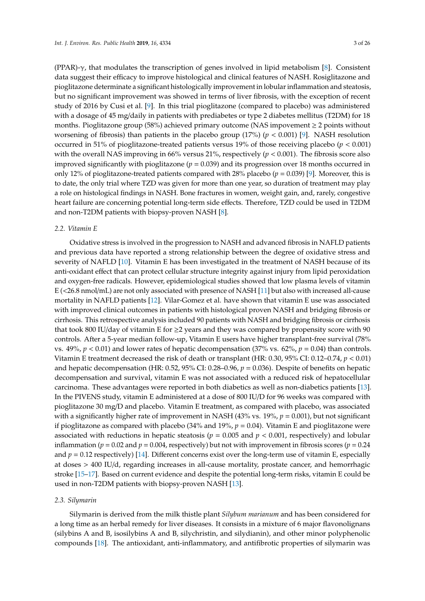(PPAR)- $\gamma$ , that modulates the transcription of genes involved in lipid metabolism [\[8\]](#page-18-7). Consistent data suggest their efficacy to improve histological and clinical features of NASH. Rosiglitazone and pioglitazone determinate a significant histologically improvement in lobular inflammation and steatosis, but no significant improvement was showed in terms of liver fibrosis, with the exception of recent study of 2016 by Cusi et al. [\[9\]](#page-18-8). In this trial pioglitazone (compared to placebo) was administered with a dosage of 45 mg/daily in patients with prediabetes or type 2 diabetes mellitus (T2DM) for 18 months. Pioglitazone group (58%) achieved primary outcome (NAS impovement  $\geq 2$  points without worsening of fibrosis) than patients in the placebo group (17%) (*p* < 0.001) [\[9\]](#page-18-8). NASH resolution occurred in 51% of pioglitazone-treated patients versus 19% of those receiving placebo (*p* < 0.001) with the overall NAS improving in 66% versus 21%, respectively (*p* < 0.001). The fibrosis score also improved significantly with pioglitazone ( $p = 0.039$ ) and its progression over 18 months occurred in only 12% of pioglitazone-treated patients compared with 28% placebo ( $p = 0.039$ ) [\[9\]](#page-18-8). Moreover, this is to date, the only trial where TZD was given for more than one year, so duration of treatment may play a role on histological findings in NASH. Bone fractures in women, weight gain, and, rarely, congestive heart failure are concerning potential long-term side effects. Therefore, TZD could be used in T2DM and non-T2DM patients with biopsy-proven NASH [\[8\]](#page-18-7).

### *2.2. Vitamin E*

Oxidative stress is involved in the progression to NASH and advanced fibrosis in NAFLD patients and previous data have reported a strong relationship between the degree of oxidative stress and severity of NAFLD [\[10\]](#page-18-9). Vitamin E has been investigated in the treatment of NASH because of its anti-oxidant effect that can protect cellular structure integrity against injury from lipid peroxidation and oxygen-free radicals. However, epidemiological studies showed that low plasma levels of vitamin E (<26.8 nmol/mL) are not only associated with presence of NASH [\[11\]](#page-18-10) but also with increased all-cause mortality in NAFLD patients [\[12\]](#page-18-11). Vilar-Gomez et al. have shown that vitamin E use was associated with improved clinical outcomes in patients with histological proven NASH and bridging fibrosis or cirrhosis. This retrospective analysis included 90 patients with NASH and bridging fibrosis or cirrhosis that took 800 IU/day of vitamin E for  $\geq$  2 years and they was compared by propensity score with 90 controls. After a 5-year median follow-up, Vitamin E users have higher transplant-free survival (78% vs.  $49\%, p < 0.01$  and lower rates of hepatic decompensation (37% vs.  $62\%, p = 0.04$ ) than controls. Vitamin E treatment decreased the risk of death or transplant (HR: 0.30, 95% CI: 0.12–0.74, *p* < 0.01) and hepatic decompensation (HR: 0.52, 95% CI: 0.28–0.96, *p* = 0.036). Despite of benefits on hepatic decompensation and survival, vitamin E was not associated with a reduced risk of hepatocellular carcinoma. These advantages were reported in both diabetics as well as non-diabetics patients [\[13\]](#page-18-12). In the PIVENS study, vitamin E administered at a dose of 800 IU/D for 96 weeks was compared with pioglitazone 30 mg/D and placebo. Vitamin E treatment, as compared with placebo, was associated with a significantly higher rate of improvement in NASH (43% vs. 19%, *p* = 0.001), but not significant if pioglitazone as compared with placebo (34% and 19%, *p* = 0.04). Vitamin E and pioglitazone were associated with reductions in hepatic steatosis ( $p = 0.005$  and  $p < 0.001$ , respectively) and lobular inflammation ( $p = 0.02$  and  $p = 0.004$ , respectively) but not with improvement in fibrosis scores ( $p = 0.24$ ) and  $p = 0.12$  respectively) [\[14\]](#page-18-13). Different concerns exist over the long-term use of vitamin E, especially at doses > 400 IU/d, regarding increases in all-cause mortality, prostate cancer, and hemorrhagic stroke [\[15–](#page-18-14)[17\]](#page-19-0). Based on current evidence and despite the potential long-term risks, vitamin E could be used in non-T2DM patients with biopsy-proven NASH [\[13\]](#page-18-12).

#### *2.3. Silymarin*

Silymarin is derived from the milk thistle plant *Silybum marianum* and has been considered for a long time as an herbal remedy for liver diseases. It consists in a mixture of 6 major flavonolignans (silybins A and B, isosilybins A and B, silychristin, and silydianin), and other minor polyphenolic compounds [\[18\]](#page-19-1). The antioxidant, anti-inflammatory, and antifibrotic properties of silymarin was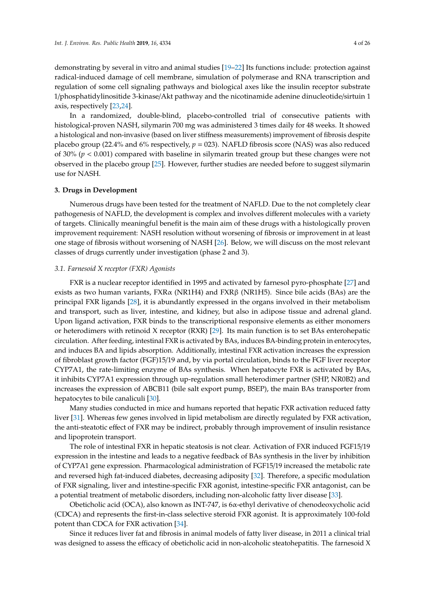demonstrating by several in vitro and animal studies [\[19–](#page-19-2)[22\]](#page-19-3) Its functions include: protection against radical-induced damage of cell membrane, simulation of polymerase and RNA transcription and regulation of some cell signaling pathways and biological axes like the insulin receptor substrate 1/phosphatidylinositide 3-kinase/Akt pathway and the nicotinamide adenine dinucleotide/sirtuin 1 axis, respectively [\[23](#page-19-4)[,24\]](#page-19-5).

In a randomized, double-blind, placebo-controlled trial of consecutive patients with histological-proven NASH, silymarin 700 mg was administered 3 times daily for 48 weeks. It showed a histological and non-invasive (based on liver stiffness measurements) improvement of fibrosis despite placebo group (22.4% and 6% respectively, *p* = 023). NAFLD fibrosis score (NAS) was also reduced of 30% (*p* < 0.001) compared with baseline in silymarin treated group but these changes were not observed in the placebo group [\[25\]](#page-19-6). However, further studies are needed before to suggest silymarin use for NASH.

## **3. Drugs in Development**

Numerous drugs have been tested for the treatment of NAFLD. Due to the not completely clear pathogenesis of NAFLD, the development is complex and involves different molecules with a variety of targets. Clinically meaningful benefit is the main aim of these drugs with a histologically proven improvement requirement: NASH resolution without worsening of fibrosis or improvement in at least one stage of fibrosis without worsening of NASH [\[26\]](#page-19-7). Below, we will discuss on the most relevant classes of drugs currently under investigation (phase 2 and 3).

## *3.1. Farnesoid X receptor (FXR) Agonists*

FXR is a nuclear receptor identified in 1995 and activated by farnesol pyro-phosphate [\[27\]](#page-19-8) and exists as two human variants,  $FXR\alpha$  (NR1H4) and  $FXR\beta$  (NR1H5). Since bile acids (BAs) are the principal FXR ligands [\[28\]](#page-19-9), it is abundantly expressed in the organs involved in their metabolism and transport, such as liver, intestine, and kidney, but also in adipose tissue and adrenal gland. Upon ligand activation, FXR binds to the transcriptional responsive elements as either monomers or heterodimers with retinoid X receptor (RXR) [\[29\]](#page-19-10). Its main function is to set BAs enterohepatic circulation. After feeding, intestinal FXR is activated by BAs, induces BA-binding protein in enterocytes, and induces BA and lipids absorption. Additionally, intestinal FXR activation increases the expression of fibroblast growth factor (FGF)15/19 and, by via portal circulation, binds to the FGF liver receptor CYP7A1, the rate-limiting enzyme of BAs synthesis. When hepatocyte FXR is activated by BAs, it inhibits CYP7A1 expression through up-regulation small heterodimer partner (SHP, NR0B2) and increases the expression of ABCB11 (bile salt export pump, BSEP), the main BAs transporter from hepatocytes to bile canaliculi [\[30\]](#page-19-11).

Many studies conducted in mice and humans reported that hepatic FXR activation reduced fatty liver [\[31\]](#page-19-12). Whereas few genes involved in lipid metabolism are directly regulated by FXR activation, the anti-steatotic effect of FXR may be indirect, probably through improvement of insulin resistance and lipoprotein transport.

The role of intestinal FXR in hepatic steatosis is not clear. Activation of FXR induced FGF15/19 expression in the intestine and leads to a negative feedback of BAs synthesis in the liver by inhibition of CYP7A1 gene expression. Pharmacological administration of FGF15/19 increased the metabolic rate and reversed high fat-induced diabetes, decreasing adiposity [\[32\]](#page-19-13). Therefore, a specific modulation of FXR signaling, liver and intestine-specific FXR agonist, intestine-specific FXR antagonist, can be a potential treatment of metabolic disorders, including non-alcoholic fatty liver disease [\[33\]](#page-19-14).

Obeticholic acid (OCA), also known as INT-747, is 6α-ethyl derivative of chenodeoxycholic acid (CDCA) and represents the first-in-class selective steroid FXR agonist. It is approximately 100-fold potent than CDCA for FXR activation [\[34\]](#page-19-15).

Since it reduces liver fat and fibrosis in animal models of fatty liver disease, in 2011 a clinical trial was designed to assess the efficacy of obeticholic acid in non-alcoholic steatohepatitis. The farnesoid X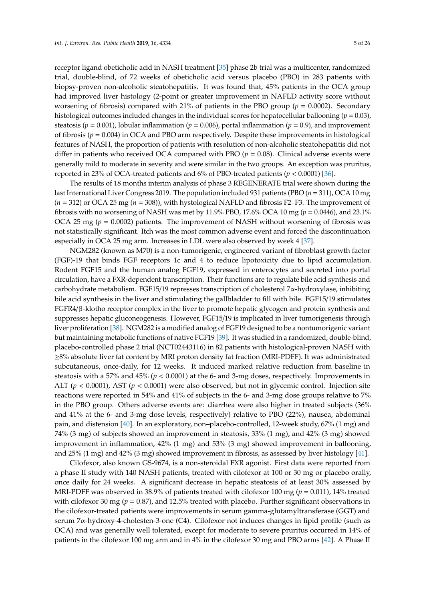receptor ligand obeticholic acid in NASH treatment [\[35\]](#page-19-16) phase 2b trial was a multicenter, randomized trial, double-blind, of 72 weeks of obeticholic acid versus placebo (PBO) in 283 patients with biopsy-proven non-alcoholic steatohepatitis. It was found that, 45% patients in the OCA group had improved liver histology (2-point or greater improvement in NAFLD activity score without worsening of fibrosis) compared with 21% of patients in the PBO group (*p* = 0.0002). Secondary histological outcomes included changes in the individual scores for hepatocellular ballooning ( $p = 0.03$ ), steatosis (*p* = 0.001), lobular inflammation (*p* = 0.006), portal inflammation (*p* = 0.9), and improvement of fibrosis ( $p = 0.004$ ) in OCA and PBO arm respectively. Despite these improvements in histological features of NASH, the proportion of patients with resolution of non-alcoholic steatohepatitis did not differ in patients who received OCA compared with PBO ( $p = 0.08$ ). Clinical adverse events were generally mild to moderate in severity and were similar in the two groups. An exception was pruritus, reported in 23% of OCA-treated patients and 6% of PBO-treated patients (*p* < 0.0001) [\[36\]](#page-19-17).

The results of 18 months interim analysis of phase 3 REGENERATE trial were shown during the last International Liver Congress 2019. The population included 931 patients (PBO (*n* = 311), OCA 10 mg (*n* = 312) or OCA 25 mg (*n* = 308)), with hystological NAFLD and fibrosis F2–F3. The improvement of fibrosis with no worsening of NASH was met by 11.9% PBO, 17.6% OCA 10 mg (*p* = 0.0446), and 23.1% OCA 25 mg ( $p = 0.0002$ ) patients. The improvement of NASH without worsening of fibrosis was not statistically significant. Itch was the most common adverse event and forced the discontinuation especially in OCA 25 mg arm. Increases in LDL were also observed by week 4 [\[37\]](#page-20-0).

NGM282 (known as M70) is a non-tumorigenic, engineered variant of fibroblast growth factor (FGF)-19 that binds FGF receptors 1c and 4 to reduce lipotoxicity due to lipid accumulation. Rodent FGF15 and the human analog FGF19, expressed in enterocytes and secreted into portal circulation, have a FXR-dependent transcription. Their functions are to regulate bile acid synthesis and carbohydrate metabolism. FGF15/19 represses transcription of cholesterol 7α-hydroxylase, inhibiting bile acid synthesis in the liver and stimulating the gallbladder to fill with bile. FGF15/19 stimulates FGFR4/β-klotho receptor complex in the liver to promote hepatic glycogen and protein synthesis and suppresses hepatic gluconeogenesis. However, FGF15/19 is implicated in liver tumorigenesis through liver proliferation [\[38\]](#page-20-1). NGM282 is a modified analog of FGF19 designed to be a nontumorigenic variant but maintaining metabolic functions of native FGF19 [\[39\]](#page-20-2). It was studied in a randomized, double-blind, placebo-controlled phase 2 trial (NCT02443116) in 82 patients with histological-proven NASH with ≥8% absolute liver fat content by MRI proton density fat fraction (MRI-PDFF). It was administrated subcutaneous, once-daily, for 12 weeks. It induced marked relative reduction from baseline in steatosis with a 57% and 45% (*p* < 0.0001) at the 6- and 3-mg doses, respectively. Improvements in ALT (*p* < 0.0001), AST (*p* < 0.0001) were also observed, but not in glycemic control. Injection site reactions were reported in 54% and 41% of subjects in the 6- and 3-mg dose groups relative to 7% in the PBO group. Others adverse events are: diarrhea were also higher in treated subjects (36% and 41% at the 6- and 3-mg dose levels, respectively) relative to PBO (22%), nausea, abdominal pain, and distension [\[40\]](#page-20-3). In an exploratory, non–placebo-controlled, 12-week study, 67% (1 mg) and 74% (3 mg) of subjects showed an improvement in steatosis, 33% (1 mg), and 42% (3 mg) showed improvement in inflammation, 42% (1 mg) and 53% (3 mg) showed improvement in ballooning, and 25% (1 mg) and 42% (3 mg) showed improvement in fibrosis, as assessed by liver histology [\[41\]](#page-20-4).

Cilofexor, also known GS-9674, is a non-steroidal FXR agonist. First data were reported from a phase II study with 140 NASH patients, treated with cilofexor at 100 or 30 mg or placebo orally, once daily for 24 weeks. A significant decrease in hepatic steatosis of at least 30% assessed by MRI-PDFF was observed in 38.9% of patients treated with cilofexor 100 mg (*p* = 0.011), 14% treated with cilofexor 30 mg (*p* = 0.87), and 12.5% treated with placebo. Further significant observations in the cilofexor-treated patients were improvements in serum gamma-glutamyltransferase (GGT) and serum 7α-hydroxy-4-cholesten-3-one (C4). Cilofexor not induces changes in lipid profile (such as OCA) and was generally well tolerated, except for moderate to severe pruritus occurred in 14% of patients in the cilofexor 100 mg arm and in 4% in the cilofexor 30 mg and PBO arms [\[42\]](#page-20-5). A Phase II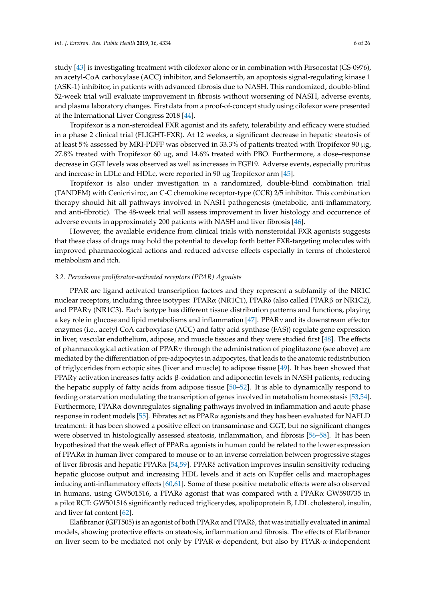study [\[43\]](#page-20-6) is investigating treatment with cilofexor alone or in combination with Firsocostat (GS-0976), an acetyl-CoA carboxylase (ACC) inhibitor, and Selonsertib, an apoptosis signal-regulating kinase 1 (ASK-1) inhibitor, in patients with advanced fibrosis due to NASH. This randomized, double-blind 52-week trial will evaluate improvement in fibrosis without worsening of NASH, adverse events, and plasma laboratory changes. First data from a proof-of-concept study using cilofexor were presented at the International Liver Congress 2018 [\[44\]](#page-20-7).

Tropifexor is a non-steroideal FXR agonist and its safety, tolerability and efficacy were studied in a phase 2 clinical trial (FLIGHT-FXR). At 12 weeks, a significant decrease in hepatic steatosis of at least 5% assessed by MRI-PDFF was observed in 33.3% of patients treated with Tropifexor 90 µg, 27.8% treated with Tropifexor 60 µg, and 14.6% treated with PBO. Furthermore, a dose–response decrease in GGT levels was observed as well as increases in FGF19. Adverse events, especially pruritus and increase in LDLc and HDLc, were reported in 90  $\mu$ g Tropifexor arm [\[45\]](#page-20-8).

Tropifexor is also under investigation in a randomized, double-blind combination trial (TANDEM) with Cenicriviroc, an C-C chemokine receptor-type (CCR) 2/5 inhibitor. This combination therapy should hit all pathways involved in NASH pathogenesis (metabolic, anti-inflammatory, and anti-fibrotic). The 48-week trial will assess improvement in liver histology and occurrence of adverse events in approximately 200 patients with NASH and liver fibrosis [\[46\]](#page-20-9).

However, the available evidence from clinical trials with nonsteroidal FXR agonists suggests that these class of drugs may hold the potential to develop forth better FXR-targeting molecules with improved pharmacological actions and reduced adverse effects especially in terms of cholesterol metabolism and itch.

## *3.2. Peroxisome proliferator-activated receptors (PPAR) Agonists*

PPAR are ligand activated transcription factors and they represent a subfamily of the NR1C nuclear receptors, including three isotypes: PPARα (NR1C1), PPARδ (also called PPARβ or NR1C2), and PPARγ (NR1C3). Each isotype has different tissue distribution patterns and functions, playing a key role in glucose and lipid metabolisms and inflammation [\[47\]](#page-20-10). PPARγ and its downstream effector enzymes (i.e., acetyl-CoA carboxylase (ACC) and fatty acid synthase (FAS)) regulate gene expression in liver, vascular endothelium, adipose, and muscle tissues and they were studied first [\[48\]](#page-20-11). The effects of pharmacological activation of PPARγ through the administration of pioglitazone (see above) are mediated by the differentiation of pre-adipocytes in adipocytes, that leads to the anatomic redistribution of triglycerides from ectopic sites (liver and muscle) to adipose tissue [\[49\]](#page-20-12). It has been showed that PPARγ activation increases fatty acids  $β$ -oxidation and adiponectin levels in NASH patients, reducing the hepatic supply of fatty acids from adipose tissue [\[50](#page-20-13)[–52\]](#page-20-14). It is able to dynamically respond to feeding or starvation modulating the transcription of genes involved in metabolism homeostasis [\[53](#page-20-15)[,54\]](#page-20-16). Furthermore, PPARα downregulates signaling pathways involved in inflammation and acute phase response in rodent models [\[55\]](#page-21-0). Fibrates act as PPARα agonists and they has been evaluated for NAFLD treatment: it has been showed a positive effect on transaminase and GGT, but no significant changes were observed in histologically assessed steatosis, inflammation, and fibrosis [\[56–](#page-21-1)[58\]](#page-21-2). It has been hypothesized that the weak effect of PPARα agonists in human could be related to the lower expression of PPARα in human liver compared to mouse or to an inverse correlation between progressive stages of liver fibrosis and hepatic PPARα [\[54](#page-20-16)[,59\]](#page-21-3). PPARδ activation improves insulin sensitivity reducing hepatic glucose output and increasing HDL levels and it acts on Kupffer cells and macrophages inducing anti-inflammatory effects [\[60,](#page-21-4)[61\]](#page-21-5). Some of these positive metabolic effects were also observed in humans, using GW501516, a PPAR $\delta$  agonist that was compared with a PPAR $\alpha$  GW590735 in a pilot RCT: GW501516 significantly reduced triglicerydes, apolipoprotein B, LDL cholesterol, insulin, and liver fat content [\[62\]](#page-21-6).

Elafibranor (GFT505) is an agonist of both PPAR $\alpha$  and PPAR $\delta$ , that was initially evaluated in animal models, showing protective effects on steatosis, inflammation and fibrosis. The effects of Elafibranor on liver seem to be mediated not only by PPAR-α-dependent, but also by PPAR-α-independent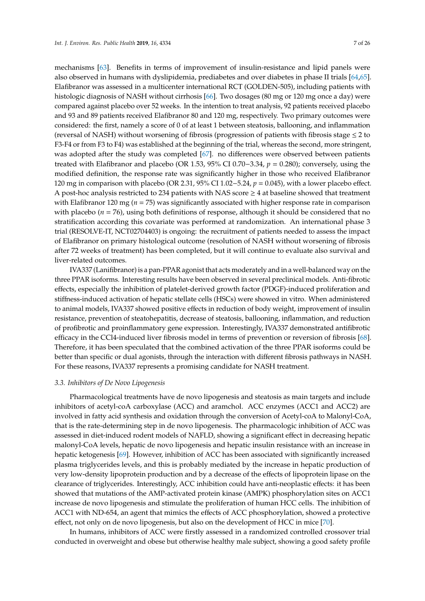mechanisms [\[63\]](#page-21-7). Benefits in terms of improvement of insulin-resistance and lipid panels were also observed in humans with dyslipidemia, prediabetes and over diabetes in phase II trials [\[64,](#page-21-8)[65\]](#page-21-9). Elafibranor was assessed in a multicenter international RCT (GOLDEN-505), including patients with histologic diagnosis of NASH without cirrhosis [\[66\]](#page-21-10). Two dosages (80 mg or 120 mg once a day) were compared against placebo over 52 weeks. In the intention to treat analysis, 92 patients received placebo and 93 and 89 patients received Elafibranor 80 and 120 mg, respectively. Two primary outcomes were considered: the first, namely a score of 0 of at least 1 between steatosis, ballooning, and inflammation (reversal of NASH) without worsening of fibrosis (progression of patients with fibrosis stage ≤ 2 to F3-F4 or from F3 to F4) was established at the beginning of the trial, whereas the second, more stringent, was adopted after the study was completed [\[67\]](#page-21-11). no differences were observed between patients treated with Elafibranor and placebo (OR 1.53, 95% CI 0.70−3.34, *p* = 0.280); conversely, using the modified definition, the response rate was significantly higher in those who received Elafibranor 120 mg in comparison with placebo (OR 2.31, 95% CI 1.02−5.24, *p* = 0.045), with a lower placebo effect. A post-hoc analysis restricted to 234 patients with NAS score  $\geq 4$  at baseline showed that treatment with Elafibranor 120 mg ( $n = 75$ ) was significantly associated with higher response rate in comparison with placebo ( $n = 76$ ), using both definitions of response, although it should be considered that no stratification according this covariate was performed at randomization. An international phase 3 trial (RESOLVE-IT, NCT02704403) is ongoing: the recruitment of patients needed to assess the impact of Elafibranor on primary histological outcome (resolution of NASH without worsening of fibrosis after 72 weeks of treatment) has been completed, but it will continue to evaluate also survival and liver-related outcomes.

IVA337 (Lanifibranor) is a pan-PPAR agonist that acts moderately and in a well-balanced way on the three PPAR isoforms. Interesting results have been observed in several preclinical models. Anti-fibrotic effects, especially the inhibition of platelet-derived growth factor (PDGF)-induced proliferation and stiffness-induced activation of hepatic stellate cells (HSCs) were showed in vitro. When administered to animal models, IVA337 showed positive effects in reduction of body weight, improvement of insulin resistance, prevention of steatohepatitis, decrease of steatosis, ballooning, inflammation, and reduction of profibrotic and proinflammatory gene expression. Interestingly, IVA337 demonstrated antifibrotic efficacy in the CCl4-induced liver fibrosis model in terms of prevention or reversion of fibrosis [\[68\]](#page-21-12). Therefore, it has been speculated that the combined activation of the three PPAR isoforms could be better than specific or dual agonists, through the interaction with different fibrosis pathways in NASH. For these reasons, IVA337 represents a promising candidate for NASH treatment.

#### *3.3. Inhibitors of De Novo Lipogenesis*

Pharmacological treatments have de novo lipogenesis and steatosis as main targets and include inhibitors of acetyl-coA carboxylase (ACC) and aramchol. ACC enzymes (ACC1 and ACC2) are involved in fatty acid synthesis and oxidation through the conversion of Acetyl-coA to Malonyl-CoA, that is the rate-determining step in de novo lipogenesis. The pharmacologic inhibition of ACC was assessed in diet-induced rodent models of NAFLD, showing a significant effect in decreasing hepatic malonyl-CoA levels, hepatic de novo lipogenesis and hepatic insulin resistance with an increase in hepatic ketogenesis [\[69\]](#page-21-13). However, inhibition of ACC has been associated with significantly increased plasma triglycerides levels, and this is probably mediated by the increase in hepatic production of very low-density lipoprotein production and by a decrease of the effects of lipoprotein lipase on the clearance of triglycerides. Interestingly, ACC inhibition could have anti-neoplastic effects: it has been showed that mutations of the AMP-activated protein kinase (AMPK) phosphorylation sites on ACC1 increase de novo lipogenesis and stimulate the proliferation of human HCC cells. The inhibition of ACC1 with ND-654, an agent that mimics the effects of ACC phosphorylation, showed a protective effect, not only on de novo lipogenesis, but also on the development of HCC in mice [\[70\]](#page-21-14).

In humans, inhibitors of ACC were firstly assessed in a randomized controlled crossover trial conducted in overweight and obese but otherwise healthy male subject, showing a good safety profile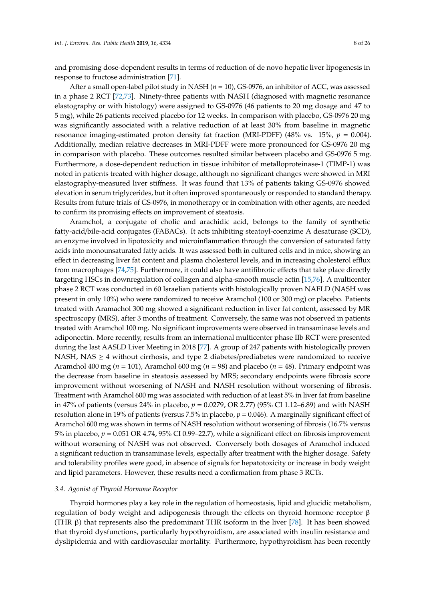and promising dose-dependent results in terms of reduction of de novo hepatic liver lipogenesis in response to fructose administration [\[71\]](#page-22-0).

After a small open-label pilot study in NASH (*n* = 10), GS-0976, an inhibitor of ACC, was assessed in a phase 2 RCT [\[72](#page-22-1)[,73\]](#page-22-2). Ninety-three patients with NASH (diagnosed with magnetic resonance elastography or with histology) were assigned to GS-0976 (46 patients to 20 mg dosage and 47 to 5 mg), while 26 patients received placebo for 12 weeks. In comparison with placebo, GS-0976 20 mg was significantly associated with a relative reduction of at least 30% from baseline in magnetic resonance imaging-estimated proton density fat fraction (MRI-PDFF) (48% vs. 15%,  $p = 0.004$ ). Additionally, median relative decreases in MRI-PDFF were more pronounced for GS-0976 20 mg in comparison with placebo. These outcomes resulted similar between placebo and GS-0976 5 mg. Furthermore, a dose-dependent reduction in tissue inhibitor of metalloproteinase-1 (TIMP-1) was noted in patients treated with higher dosage, although no significant changes were showed in MRI elastography-measured liver stiffness. It was found that 13% of patients taking GS-0976 showed elevation in serum triglycerides, but it often improved spontaneously or responded to standard therapy. Results from future trials of GS-0976, in monotherapy or in combination with other agents, are needed to confirm its promising effects on improvement of steatosis.

Aramchol, a conjugate of cholic and arachidic acid, belongs to the family of synthetic fatty-acid/bile-acid conjugates (FABACs). It acts inhibiting steatoyl-coenzime A desaturase (SCD), an enzyme involved in lipotoxicity and microinflammation through the conversion of saturated fatty acids into monounsaturated fatty acids. It was assessed both in cultured cells and in mice, showing an effect in decreasing liver fat content and plasma cholesterol levels, and in increasing cholesterol efflux from macrophages [\[74,](#page-22-3)[75\]](#page-22-4). Furthermore, it could also have antifibrotic effects that take place directly targeting HSCs in downregulation of collagen and alpha-smooth muscle actin [\[15](#page-18-14)[,76\]](#page-22-5). A multicenter phase 2 RCT was conducted in 60 Israelian patients with histologically proven NAFLD (NASH was present in only 10%) who were randomized to receive Aramchol (100 or 300 mg) or placebo. Patients treated with Aramachol 300 mg showed a significant reduction in liver fat content, assessed by MR spectroscopy (MRS), after 3 months of treatment. Conversely, the same was not observed in patients treated with Aramchol 100 mg. No significant improvements were observed in transaminase levels and adiponectin. More recently, results from an international multicenter phase IIb RCT were presented during the last AASLD Liver Meeting in 2018 [\[77\]](#page-22-6). A group of 247 patients with histologically proven NASH, NAS  $\geq$  4 without cirrhosis, and type 2 diabetes/prediabetes were randomized to receive Aramchol 400 mg (*n* = 101), Aramchol 600 mg (*n* = 98) and placebo (*n* = 48). Primary endpoint was the decrease from baseline in steatosis assessed by MRS; secondary endpoints were fibrosis score improvement without worsening of NASH and NASH resolution without worsening of fibrosis. Treatment with Aramchol 600 mg was associated with reduction of at least 5% in liver fat from baseline in 47% of patients (versus 24% in placebo, *p* = 0.0279, OR 2.77) (95% CI 1.12–6.89) and with NASH resolution alone in 19% of patients (versus 7.5% in placebo, *p* = 0.046). A marginally significant effect of Aramchol 600 mg was shown in terms of NASH resolution without worsening of fibrosis (16.7% versus 5% in placebo, *p* = 0.051 OR 4.74, 95% CI 0.99–22.7), while a significant effect on fibrosis improvement without worsening of NASH was not observed. Conversely both dosages of Aramchol induced a significant reduction in transaminase levels, especially after treatment with the higher dosage. Safety and tolerability profiles were good, in absence of signals for hepatotoxicity or increase in body weight and lipid parameters. However, these results need a confirmation from phase 3 RCTs.

## *3.4. Agonist of Thyroid Hormone Receptor*

Thyroid hormones play a key role in the regulation of homeostasis, lipid and glucidic metabolism, regulation of body weight and adipogenesis through the effects on thyroid hormone receptor β (THR β) that represents also the predominant THR isoform in the liver [\[78\]](#page-22-7). It has been showed that thyroid dysfunctions, particularly hypothyroidism, are associated with insulin resistance and dyslipidemia and with cardiovascular mortality. Furthermore, hypothyroidism has been recently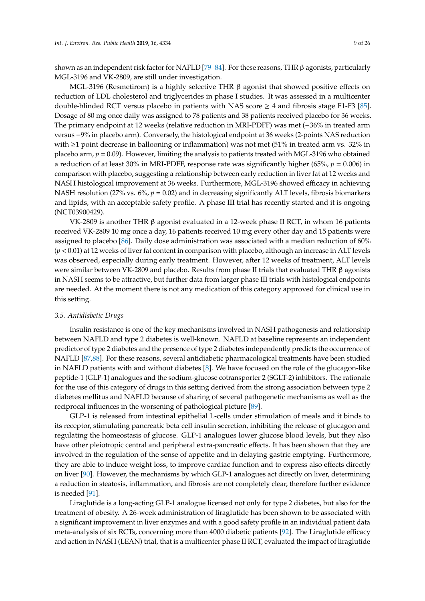shown as an independent risk factor for NAFLD [\[79](#page-22-8)[–84\]](#page-22-9). For these reasons, THR  $\beta$  agonists, particularly MGL-3196 and VK-2809, are still under investigation.

MGL-3196 (Resmetirom) is a highly selective THR  $β$  agonist that showed positive effects on reduction of LDL cholesterol and triglycerides in phase I studies. It was assessed in a multicenter double-blinded RCT versus placebo in patients with NAS score  $\geq 4$  and fibrosis stage F1-F3 [\[85\]](#page-22-10). Dosage of 80 mg once daily was assigned to 78 patients and 38 patients received placebo for 36 weeks. The primary endpoint at 12 weeks (relative reduction in MRI-PDFF) was met (−36% in treated arm versus −9% in placebo arm). Conversely, the histological endpoint at 36 weeks (2-points NAS reduction with  $\geq$ 1 point decrease in ballooning or inflammation) was not met (51% in treated arm vs. 32% in placebo arm,  $p = 0.09$ ). However, limiting the analysis to patients treated with MGL-3196 who obtained a reduction of at least 30% in MRI-PDFF, response rate was significantly higher (65%, *p* = 0.006) in comparison with placebo, suggesting a relationship between early reduction in liver fat at 12 weeks and NASH histological improvement at 36 weeks. Furthermore, MGL-3196 showed efficacy in achieving NASH resolution (27% vs. 6%,  $p = 0.02$ ) and in decreasing significantly ALT levels, fibrosis biomarkers and lipids, with an acceptable safety profile. A phase III trial has recently started and it is ongoing (NCT03900429).

VK-2809 is another THR β agonist evaluated in a 12-week phase II RCT, in whom 16 patients received VK-2809 10 mg once a day, 16 patients received 10 mg every other day and 15 patients were assigned to placebo [\[86\]](#page-22-11). Daily dose administration was associated with a median reduction of 60% (*p* < 0.01) at 12 weeks of liver fat content in comparison with placebo, although an increase in ALT levels was observed, especially during early treatment. However, after 12 weeks of treatment, ALT levels were similar between VK-2809 and placebo. Results from phase II trials that evaluated THR β agonists in NASH seems to be attractive, but further data from larger phase III trials with histological endpoints are needed. At the moment there is not any medication of this category approved for clinical use in this setting.

## *3.5. Antidiabetic Drugs*

Insulin resistance is one of the key mechanisms involved in NASH pathogenesis and relationship between NAFLD and type 2 diabetes is well-known. NAFLD at baseline represents an independent predictor of type 2 diabetes and the presence of type 2 diabetes independently predicts the occurrence of NAFLD [\[87,](#page-22-12)[88\]](#page-22-13). For these reasons, several antidiabetic pharmacological treatments have been studied in NAFLD patients with and without diabetes [\[8\]](#page-18-7). We have focused on the role of the glucagon-like peptide-1 (GLP-1) analogues and the sodium-glucose cotransporter 2 (SGLT-2) inhibitors. The rationale for the use of this category of drugs in this setting derived from the strong association between type 2 diabetes mellitus and NAFLD because of sharing of several pathogenetic mechanisms as well as the reciprocal influences in the worsening of pathological picture [\[89\]](#page-22-14).

GLP-1 is released from intestinal epithelial L-cells under stimulation of meals and it binds to its receptor, stimulating pancreatic beta cell insulin secretion, inhibiting the release of glucagon and regulating the homeostasis of glucose. GLP-1 analogues lower glucose blood levels, but they also have other pleiotropic central and peripheral extra-pancreatic effects. It has been shown that they are involved in the regulation of the sense of appetite and in delaying gastric emptying. Furthermore, they are able to induce weight loss, to improve cardiac function and to express also effects directly on liver [\[90\]](#page-23-0). However, the mechanisms by which GLP-1 analogues act directly on liver, determining a reduction in steatosis, inflammation, and fibrosis are not completely clear, therefore further evidence is needed [\[91\]](#page-23-1).

Liraglutide is a long-acting GLP-1 analogue licensed not only for type 2 diabetes, but also for the treatment of obesity. A 26-week administration of liraglutide has been shown to be associated with a significant improvement in liver enzymes and with a good safety profile in an individual patient data meta-analysis of six RCTs, concerning more than 4000 diabetic patients [\[92\]](#page-23-2). The Liraglutide efficacy and action in NASH (LEAN) trial, that is a multicenter phase II RCT, evaluated the impact of liraglutide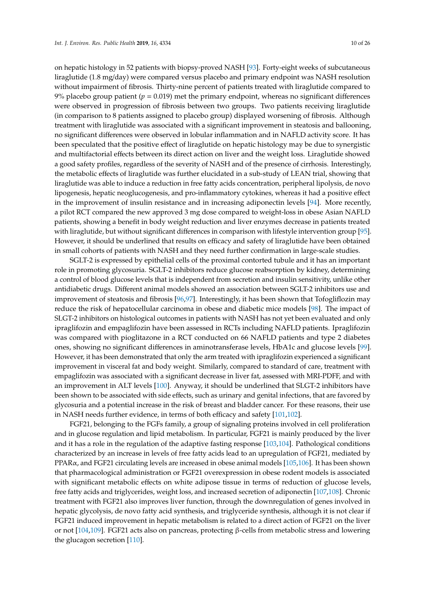on hepatic histology in 52 patients with biopsy-proved NASH [\[93\]](#page-23-3). Forty-eight weeks of subcutaneous liraglutide (1.8 mg/day) were compared versus placebo and primary endpoint was NASH resolution without impairment of fibrosis. Thirty-nine percent of patients treated with liraglutide compared to 9% placebo group patient ( $p = 0.019$ ) met the primary endpoint, whereas no significant differences were observed in progression of fibrosis between two groups. Two patients receiving liraglutide (in comparison to 8 patients assigned to placebo group) displayed worsening of fibrosis. Although treatment with liraglutide was associated with a significant improvement in steatosis and ballooning, no significant differences were observed in lobular inflammation and in NAFLD activity score. It has been speculated that the positive effect of liraglutide on hepatic histology may be due to synergistic and multifactorial effects between its direct action on liver and the weight loss. Liraglutide showed a good safety profiles, regardless of the severity of NASH and of the presence of cirrhosis. Interestingly, the metabolic effects of liraglutide was further elucidated in a sub-study of LEAN trial, showing that liraglutide was able to induce a reduction in free fatty acids concentration, peripheral lipolysis, de novo lipogenesis, hepatic neoglucogenesis, and pro-inflammatory cytokines, whereas it had a positive effect in the improvement of insulin resistance and in increasing adiponectin levels [\[94\]](#page-23-4). More recently, a pilot RCT compared the new approved 3 mg dose compared to weight-loss in obese Asian NAFLD patients, showing a benefit in body weight reduction and liver enzymes decrease in patients treated with liraglutide, but without significant differences in comparison with lifestyle intervention group [\[95\]](#page-23-5). However, it should be underlined that results on efficacy and safety of liraglutide have been obtained in small cohorts of patients with NASH and they need further confirmation in large-scale studies.

SGLT-2 is expressed by epithelial cells of the proximal contorted tubule and it has an important role in promoting glycosuria. SGLT-2 inhibitors reduce glucose reabsorption by kidney, determining a control of blood glucose levels that is independent from secretion and insulin sensitivity, unlike other antidiabetic drugs. Different animal models showed an association between SGLT-2 inhibitors use and improvement of steatosis and fibrosis [\[96,](#page-23-6)[97\]](#page-23-7). Interestingly, it has been shown that Tofogliflozin may reduce the risk of hepatocellular carcinoma in obese and diabetic mice models [\[98\]](#page-23-8). The impact of SLGT-2 inhibitors on histological outcomes in patients with NASH has not yet been evaluated and only ipraglifozin and empaglifozin have been assessed in RCTs including NAFLD patients. Ipraglifozin was compared with pioglitazone in a RCT conducted on 66 NAFLD patients and type 2 diabetes ones, showing no significant differences in aminotransferase levels, HbA1c and glucose levels [\[99\]](#page-23-9). However, it has been demonstrated that only the arm treated with ipraglifozin experienced a significant improvement in visceral fat and body weight. Similarly, compared to standard of care, treatment with empaglifozin was associated with a significant decrease in liver fat, assessed with MRI-PDFF, and with an improvement in ALT levels [\[100\]](#page-23-10). Anyway, it should be underlined that SLGT-2 inhibitors have been shown to be associated with side effects, such as urinary and genital infections, that are favored by glycosuria and a potential increase in the risk of breast and bladder cancer. For these reasons, their use in NASH needs further evidence, in terms of both efficacy and safety [\[101](#page-23-11)[,102\]](#page-23-12).

FGF21, belonging to the FGFs family, a group of signaling proteins involved in cell proliferation and in glucose regulation and lipid metabolism. In particular, FGF21 is mainly produced by the liver and it has a role in the regulation of the adaptive fasting response [\[103,](#page-23-13)[104\]](#page-23-14). Pathological conditions characterized by an increase in levels of free fatty acids lead to an upregulation of FGF21, mediated by PPARα, and FGF21 circulating levels are increased in obese animal models [\[105](#page-23-15)[,106\]](#page-23-16). It has been shown that pharmacological administration or FGF21 overexpression in obese rodent models is associated with significant metabolic effects on white adipose tissue in terms of reduction of glucose levels, free fatty acids and triglycerides, weight loss, and increased secretion of adiponectin [\[107](#page-23-17)[,108\]](#page-24-0). Chronic treatment with FGF21 also improves liver function, through the downregulation of genes involved in hepatic glycolysis, de novo fatty acid synthesis, and triglyceride synthesis, although it is not clear if FGF21 induced improvement in hepatic metabolism is related to a direct action of FGF21 on the liver or not [\[104,](#page-23-14)[109\]](#page-24-1). FGF21 acts also on pancreas, protecting β-cells from metabolic stress and lowering the glucagon secretion [\[110\]](#page-24-2).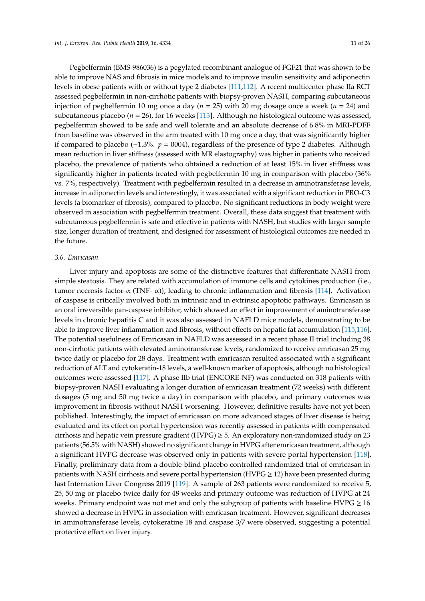Pegbelfermin (BMS-986036) is a pegylated recombinant analogue of FGF21 that was shown to be able to improve NAS and fibrosis in mice models and to improve insulin sensitivity and adiponectin levels in obese patients with or without type 2 diabetes [\[111](#page-24-3)[,112\]](#page-24-4). A recent multicenter phase IIa RCT assessed pegbelfermin in non-cirrhotic patients with biopsy-proven NASH, comparing subcutaneous injection of pegbelfermin 10 mg once a day (*n* = 25) with 20 mg dosage once a week (*n* = 24) and subcutaneous placebo ( $n = 26$ ), for 16 weeks [\[113\]](#page-24-5). Although no histological outcome was assessed, pegbelfermin showed to be safe and well tolerate and an absolute decrease of 6.8% in MRI-PDFF from baseline was observed in the arm treated with 10 mg once a day, that was significantly higher if compared to placebo (−1.3%. *p* = 0004), regardless of the presence of type 2 diabetes. Although mean reduction in liver stiffness (assessed with MR elastography) was higher in patients who received placebo, the prevalence of patients who obtained a reduction of at least 15% in liver stiffness was significantly higher in patients treated with pegbelfermin 10 mg in comparison with placebo (36% vs. 7%, respectively). Treatment with pegbelfermin resulted in a decrease in aminotransferase levels, increase in adiponectin levels and interestingly, it was associated with a significant reduction in PRO-C3 levels (a biomarker of fibrosis), compared to placebo. No significant reductions in body weight were observed in association with pegbelfermin treatment. Overall, these data suggest that treatment with subcutaneous pegbelfermin is safe and effective in patients with NASH, but studies with larger sample size, longer duration of treatment, and designed for assessment of histological outcomes are needed in the future.

#### *3.6. Emricasan*

Liver injury and apoptosis are some of the distinctive features that differentiate NASH from simple steatosis. They are related with accumulation of immune cells and cytokines production (i.e., tumor necrosis factor-α (TNF- α)), leading to chronic inflammation and fibrosis [\[114\]](#page-24-6). Activation of caspase is critically involved both in intrinsic and in extrinsic apoptotic pathways. Emricasan is an oral irreversible pan-caspase inhibitor, which showed an effect in improvement of aminotransferase levels in chronic hepatitis C and it was also assessed in NAFLD mice models, demonstrating to be able to improve liver inflammation and fibrosis, without effects on hepatic fat accumulation [\[115](#page-24-7)[,116\]](#page-24-8). The potential usefulness of Emricasan in NAFLD was assessed in a recent phase II trial including 38 non-cirrhotic patients with elevated aminotransferase levels, randomized to receive emricasan 25 mg twice daily or placebo for 28 days. Treatment with emricasan resulted associated with a significant reduction of ALT and cytokeratin-18 levels, a well-known marker of apoptosis, although no histological outcomes were assessed [\[117\]](#page-24-9). A phase IIb trial (ENCORE-NF) was conducted on 318 patients with biopsy-proven NASH evaluating a longer duration of emricasan treatment (72 weeks) with different dosages (5 mg and 50 mg twice a day) in comparison with placebo, and primary outcomes was improvement in fibrosis without NASH worsening. However, definitive results have not yet been published. Interestingly, the impact of emricasan on more advanced stages of liver disease is being evaluated and its effect on portal hypertension was recently assessed in patients with compensated cirrhosis and hepatic vein pressure gradient (HVPG)  $\geq$  5. An exploratory non-randomized study on 23 patients (56.5% with NASH) showed no significant change in HVPG after emricasan treatment, although a significant HVPG decrease was observed only in patients with severe portal hypertension [\[118\]](#page-24-10). Finally, preliminary data from a double-blind placebo controlled randomized trial of emricasan in patients with NASH cirrhosis and severe portal hypertension (HVPG  $\geq$  12) have been presented during last Internation Liver Congress 2019 [\[119\]](#page-24-11). A sample of 263 patients were randomized to receive 5, 25, 50 mg or placebo twice daily for 48 weeks and primary outcome was reduction of HVPG at 24 weeks. Primary endpoint was not met and only the subgroup of patients with baseline  $HVPG \geq 16$ showed a decrease in HVPG in association with emricasan treatment. However, significant decreases in aminotransferase levels, cytokeratine 18 and caspase 3/7 were observed, suggesting a potential protective effect on liver injury.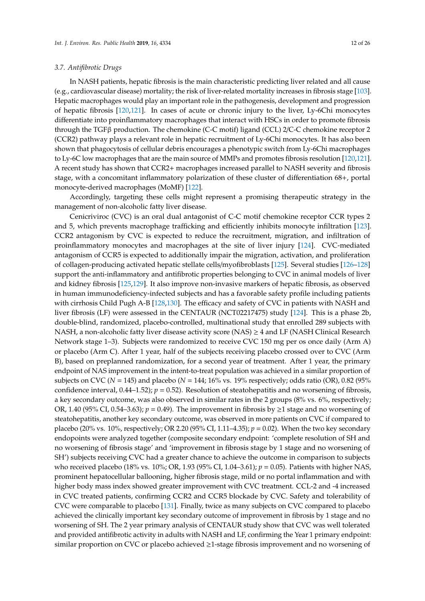## *3.7. Antifibrotic Drugs*

In NASH patients, hepatic fibrosis is the main characteristic predicting liver related and all cause (e.g., cardiovascular disease) mortality; the risk of liver-related mortality increases in fibrosis stage [\[103\]](#page-23-13). Hepatic macrophages would play an important role in the pathogenesis, development and progression of hepatic fibrosis [\[120,](#page-24-12)[121\]](#page-24-13). In cases of acute or chronic injury to the liver, Ly-6Chi monocytes differentiate into proinflammatory macrophages that interact with HSCs in order to promote fibrosis through the TGFβ production. The chemokine (C-C motif) ligand (CCL) 2/C-C chemokine receptor 2 (CCR2) pathway plays a relevant role in hepatic recruitment of Ly-6Chi monocytes. It has also been shown that phagocytosis of cellular debris encourages a phenotypic switch from Ly-6Chi macrophages to Ly-6C low macrophages that are the main source of MMPs and promotes fibrosis resolution [\[120](#page-24-12)[,121\]](#page-24-13). A recent study has shown that CCR2+ macrophages increased parallel to NASH severity and fibrosis stage, with a concomitant inflammatory polarization of these cluster of differentiation 68+, portal monocyte-derived macrophages (MoMF) [\[122\]](#page-24-14).

Accordingly, targeting these cells might represent a promising therapeutic strategy in the management of non-alcoholic fatty liver disease.

Cenicriviroc (CVC) is an oral dual antagonist of C-C motif chemokine receptor CCR types 2 and 5, which prevents macrophage trafficking and efficiently inhibits monocyte infiltration [\[123\]](#page-24-15). CCR2 antagonism by CVC is expected to reduce the recruitment, migration, and infiltration of proinflammatory monocytes and macrophages at the site of liver injury [\[124\]](#page-24-16). CVC-mediated antagonism of CCR5 is expected to additionally impair the migration, activation, and proliferation of collagen-producing activated hepatic stellate cells/myofibroblasts [\[125\]](#page-24-17). Several studies [\[126](#page-24-18)[–128\]](#page-25-0) support the anti-inflammatory and antifibrotic properties belonging to CVC in animal models of liver and kidney fibrosis [\[125,](#page-24-17)[129\]](#page-25-1). It also improve non-invasive markers of hepatic fibrosis, as observed in human immunodeficiency-infected subjects and has a favorable safety profile including patients with cirrhosis Child Pugh A-B [\[128,](#page-25-0)[130\]](#page-25-2). The efficacy and safety of CVC in patients with NASH and liver fibrosis (LF) were assessed in the CENTAUR (NCT02217475) study [\[124\]](#page-24-16). This is a phase 2b, double-blind, randomized, placebo-controlled, multinational study that enrolled 289 subjects with NASH, a non-alcoholic fatty liver disease activity score (NAS)  $\geq$  4 and LF (NASH Clinical Research Network stage 1–3). Subjects were randomized to receive CVC 150 mg per os once daily (Arm A) or placebo (Arm C). After 1 year, half of the subjects receiving placebo crossed over to CVC (Arm B), based on preplanned randomization, for a second year of treatment. After 1 year, the primary endpoint of NAS improvement in the intent-to-treat population was achieved in a similar proportion of subjects on CVC ( $N = 145$ ) and placebo ( $N = 144$ ; 16% vs. 19% respectively; odds ratio (OR), 0.82 (95% confidence interval,  $0.44-1.52$ ;  $p = 0.52$ ). Resolution of steatohepatitis and no worsening of fibrosis, a key secondary outcome, was also observed in similar rates in the 2 groups (8% vs. 6%, respectively; OR, 1.40 (95% CI, 0.54–3.63);  $p = 0.49$ ). The improvement in fibrosis by  $\geq 1$  stage and no worsening of steatohepatitis, another key secondary outcome, was observed in more patients on CVC if compared to placebo (20% vs. 10%, respectively; OR 2.20 (95% CI, 1.11–4.35); *p* = 0.02). When the two key secondary endopoints were analyzed together (composite secondary endpoint: 'complete resolution of SH and no worsening of fibrosis stage' and 'improvement in fibrosis stage by 1 stage and no worsening of SH') subjects receiving CVC had a greater chance to achieve the outcome in comparison to subjects who received placebo (18% vs. 10%; OR, 1.93 (95% CI, 1.04–3.61); *p* = 0.05). Patients with higher NAS, prominent hepatocellular ballooning, higher fibrosis stage, mild or no portal inflammation and with higher body mass index showed greater improvement with CVC treatment. CCL-2 and -4 increased in CVC treated patients, confirming CCR2 and CCR5 blockade by CVC. Safety and tolerability of CVC were comparable to placebo [\[131\]](#page-25-3). Finally, twice as many subjects on CVC compared to placebo achieved the clinically important key secondary outcome of improvement in fibrosis by 1 stage and no worsening of SH. The 2 year primary analysis of CENTAUR study show that CVC was well tolerated and provided antifibrotic activity in adults with NASH and LF, confirming the Year 1 primary endpoint: similar proportion on CVC or placebo achieved ≥1-stage fibrosis improvement and no worsening of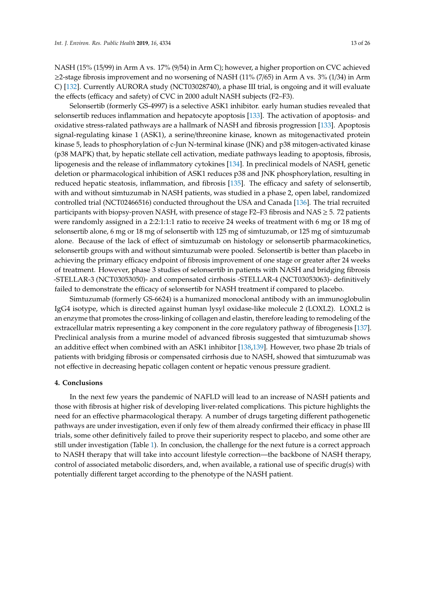NASH (15% (15/99) in Arm A vs. 17% (9/54) in Arm C); however, a higher proportion on CVC achieved  $\geq$ 2-stage fibrosis improvement and no worsening of NASH (11% (7/65) in Arm A vs. 3% (1/34) in Arm C) [\[132\]](#page-25-4). Currently AURORA study (NCT03028740), a phase III trial, is ongoing and it will evaluate the effects (efficacy and safety) of CVC in 2000 adult NASH subjects (F2–F3).

Selonsertib (formerly GS-4997) is a selective ASK1 inhibitor. early human studies revealed that selonsertib reduces inflammation and hepatocyte apoptosis [\[133\]](#page-25-5). The activation of apoptosis- and oxidative stress-ralated pathways are a hallmark of NASH and fibrosis progression [\[133\]](#page-25-5). Apoptosis signal-regulating kinase 1 (ASK1), a serine/threonine kinase, known as mitogenactivated protein kinase 5, leads to phosphorylation of c-Jun N-terminal kinase (JNK) and p38 mitogen-activated kinase (p38 MAPK) that, by hepatic stellate cell activation, mediate pathways leading to apoptosis, fibrosis, lipogenesis and the release of inflammatory cytokines [\[134\]](#page-25-6). In preclinical models of NASH, genetic deletion or pharmacological inhibition of ASK1 reduces p38 and JNK phosphorylation, resulting in reduced hepatic steatosis, inflammation, and fibrosis [\[135\]](#page-25-7). The efficacy and safety of selonsertib, with and without simtuzumab in NASH patients, was studied in a phase 2, open label, randomized controlled trial (NCT02466516) conducted throughout the USA and Canada [\[136\]](#page-25-8). The trial recruited participants with biopsy-proven NASH, with presence of stage F2–F3 fibrosis and NAS  $\geq$  5. 72 patients were randomly assigned in a 2:2:1:1:1 ratio to receive 24 weeks of treatment with 6 mg or 18 mg of selonsertib alone, 6 mg or 18 mg of selonsertib with 125 mg of simtuzumab, or 125 mg of simtuzumab alone. Because of the lack of effect of simtuzumab on histology or selonsertib pharmacokinetics, selonsertib groups with and without simtuzumab were pooled. Selonsertib is better than placebo in achieving the primary efficacy endpoint of fibrosis improvement of one stage or greater after 24 weeks of treatment. However, phase 3 studies of selonsertib in patients with NASH and bridging fibrosis -STELLAR-3 (NCT03053050)- and compensated cirrhosis -STELLAR-4 (NCT03053063)- definitively failed to demonstrate the efficacy of selonsertib for NASH treatment if compared to placebo.

Simtuzumab (formerly GS-6624) is a humanized monoclonal antibody with an immunoglobulin IgG4 isotype, which is directed against human lysyl oxidase-like molecule 2 (LOXL2). LOXL2 is an enzyme that promotes the cross-linking of collagen and elastin, therefore leading to remodeling of the extracellular matrix representing a key component in the core regulatory pathway of fibrogenesis [\[137\]](#page-25-9). Preclinical analysis from a murine model of advanced fibrosis suggested that simtuzumab shows an additive effect when combined with an ASK1 inhibitor [\[138](#page-25-10)[,139\]](#page-25-11). However, two phase 2b trials of patients with bridging fibrosis or compensated cirrhosis due to NASH, showed that simtuzumab was not effective in decreasing hepatic collagen content or hepatic venous pressure gradient.

## **4. Conclusions**

In the next few years the pandemic of NAFLD will lead to an increase of NASH patients and those with fibrosis at higher risk of developing liver-related complications. This picture highlights the need for an effective pharmacological therapy. A number of drugs targeting different pathogenetic pathways are under investigation, even if only few of them already confirmed their efficacy in phase III trials, some other definitively failed to prove their superiority respect to placebo, and some other are still under investigation (Table [1\)](#page-17-0). In conclusion, the challenge for the next future is a correct approach to NASH therapy that will take into account lifestyle correction—the backbone of NASH therapy, control of associated metabolic disorders, and, when available, a rational use of specific drug(s) with potentially different target according to the phenotype of the NASH patient.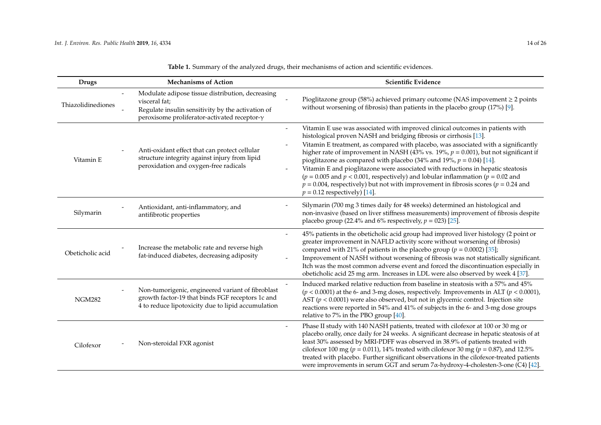| <b>Drugs</b>       | <b>Mechanisms of Action</b>                                                                                                                                                    | Scientific Evidence                                                                                                                                                                                                                                                                                                                                                                                                                                                                                                                                                                                                                                                                                                      |
|--------------------|--------------------------------------------------------------------------------------------------------------------------------------------------------------------------------|--------------------------------------------------------------------------------------------------------------------------------------------------------------------------------------------------------------------------------------------------------------------------------------------------------------------------------------------------------------------------------------------------------------------------------------------------------------------------------------------------------------------------------------------------------------------------------------------------------------------------------------------------------------------------------------------------------------------------|
| Thiazolidinediones | Modulate adipose tissue distribution, decreasing<br>visceral fat;<br>Regulate insulin sensitivity by the activation of<br>peroxisome proliferator-activated receptor- $\gamma$ | Pioglitazone group (58%) achieved primary outcome (NAS impovement $\geq$ 2 points<br>without worsening of fibrosis) than patients in the placebo group (17%) [9].                                                                                                                                                                                                                                                                                                                                                                                                                                                                                                                                                        |
| Vitamin E          | Anti-oxidant effect that can protect cellular<br>structure integrity against injury from lipid<br>peroxidation and oxygen-free radicals                                        | Vitamin E use was associated with improved clinical outcomes in patients with<br>histological proven NASH and bridging fibrosis or cirrhosis [13].<br>Vitamin E treatment, as compared with placebo, was associated with a significantly<br>higher rate of improvement in NASH (43% vs. 19%, $p = 0.001$ ), but not significant if<br>pioglitazone as compared with placebo (34% and 19%, $p = 0.04$ ) [14].<br>Vitamin E and pioglitazone were associated with reductions in hepatic steatosis<br>( $p = 0.005$ and $p < 0.001$ , respectively) and lobular inflammation ( $p = 0.02$ and<br>$p = 0.004$ , respectively) but not with improvement in fibrosis scores ( $p = 0.24$ and<br>$p = 0.12$ respectively) [14]. |
| Silymarin          | Antioxidant, anti-inflammatory, and<br>antifibrotic properties                                                                                                                 | Silymarin (700 mg 3 times daily for 48 weeks) determined an histological and<br>non-invasive (based on liver stiffness measurements) improvement of fibrosis despite<br>placebo group (22.4% and 6% respectively, $p = 023$ ) [25].                                                                                                                                                                                                                                                                                                                                                                                                                                                                                      |
| Obeticholic acid   | Increase the metabolic rate and reverse high<br>fat-induced diabetes, decreasing adiposity                                                                                     | 45% patients in the obeticholic acid group had improved liver histology (2 point or<br>$\overline{\phantom{a}}$<br>greater improvement in NAFLD activity score without worsening of fibrosis)<br>compared with 21% of patients in the placebo group ( $p = 0.0002$ ) [35];<br>Improvement of NASH without worsening of fibrosis was not statistically significant.<br>Itch was the most common adverse event and forced the discontinuation especially in<br>obeticholic acid 25 mg arm. Increases in LDL were also observed by week 4 [37].                                                                                                                                                                             |
| <b>NGM282</b>      | Non-tumorigenic, engineered variant of fibroblast<br>growth factor-19 that binds FGF receptors 1c and<br>4 to reduce lipotoxicity due to lipid accumulation                    | Induced marked relative reduction from baseline in steatosis with a 57% and 45%<br>$(p < 0.0001)$ at the 6- and 3-mg doses, respectively. Improvements in ALT ( $p < 0.0001$ ),<br>AST ( $p < 0.0001$ ) were also observed, but not in glycemic control. Injection site<br>reactions were reported in 54% and 41% of subjects in the 6- and 3-mg dose groups<br>relative to 7% in the PBO group $[40]$ .                                                                                                                                                                                                                                                                                                                 |
| Cilofexor          | Non-steroidal FXR agonist                                                                                                                                                      | Phase II study with 140 NASH patients, treated with cilofexor at 100 or 30 mg or<br>placebo orally, once daily for 24 weeks. A significant decrease in hepatic steatosis of at<br>least 30% assessed by MRI-PDFF was observed in 38.9% of patients treated with<br>cilofexor 100 mg ( $p = 0.011$ ), 14% treated with cilofexor 30 mg ( $p = 0.87$ ), and 12.5%<br>treated with placebo. Further significant observations in the cilofexor-treated patients<br>were improvements in serum GGT and serum 7α-hydroxy-4-cholesten-3-one (C4) [42].                                                                                                                                                                          |

**Table 1.** Summary of the analyzed drugs, their mechanisms of action and scientific evidences.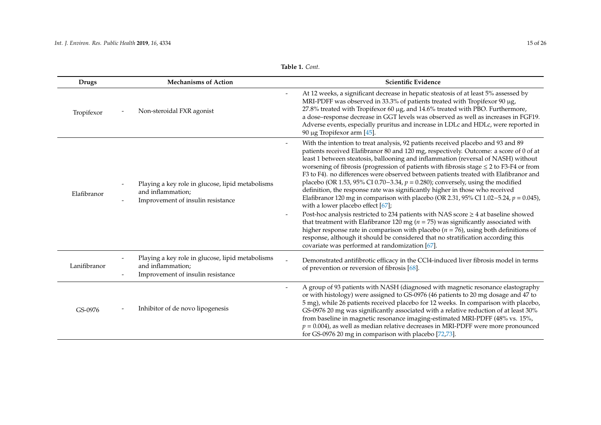| <b>Drugs</b> | <b>Mechanisms of Action</b>                                                                                | Scientific Evidence                                                                                                                                                                                                                                                                                                                                                                                                                                                                                                                                                                                                                                                                                                                                                                                                                                                                                                                                                                                                                                                                                                                                                                                             |
|--------------|------------------------------------------------------------------------------------------------------------|-----------------------------------------------------------------------------------------------------------------------------------------------------------------------------------------------------------------------------------------------------------------------------------------------------------------------------------------------------------------------------------------------------------------------------------------------------------------------------------------------------------------------------------------------------------------------------------------------------------------------------------------------------------------------------------------------------------------------------------------------------------------------------------------------------------------------------------------------------------------------------------------------------------------------------------------------------------------------------------------------------------------------------------------------------------------------------------------------------------------------------------------------------------------------------------------------------------------|
| Tropifexor   | Non-steroidal FXR agonist                                                                                  | At 12 weeks, a significant decrease in hepatic steatosis of at least 5% assessed by<br>MRI-PDFF was observed in 33.3% of patients treated with Tropifexor 90 µg,<br>27.8% treated with Tropifexor 60 µg, and 14.6% treated with PBO. Furthermore,<br>a dose-response decrease in GGT levels was observed as well as increases in FGF19.<br>Adverse events, especially pruritus and increase in LDLc and HDLc, were reported in<br>90 μg Tropifexor arm $[45]$ .                                                                                                                                                                                                                                                                                                                                                                                                                                                                                                                                                                                                                                                                                                                                                 |
| Elafibranor  | Playing a key role in glucose, lipid metabolisms<br>and inflammation;<br>Improvement of insulin resistance | With the intention to treat analysis, 92 patients received placebo and 93 and 89<br>$\overline{\phantom{a}}$<br>patients received Elafibranor 80 and 120 mg, respectively. Outcome: a score of 0 of at<br>least 1 between steatosis, ballooning and inflammation (reversal of NASH) without<br>worsening of fibrosis (progression of patients with fibrosis stage $\leq$ 2 to F3-F4 or from<br>F3 to F4). no differences were observed between patients treated with Elafibranor and<br>placebo (OR 1.53, 95% CI 0.70–3.34, $p = 0.280$ ); conversely, using the modified<br>definition, the response rate was significantly higher in those who received<br>Elafibranor 120 mg in comparison with placebo (OR 2.31, 95% CI 1.02-5.24, $p = 0.045$ ),<br>with a lower placebo effect [67];<br>Post-hoc analysis restricted to 234 patients with NAS score $\geq$ 4 at baseline showed<br>that treatment with Elafibranor 120 mg ( $n = 75$ ) was significantly associated with<br>higher response rate in comparison with placebo ( $n = 76$ ), using both definitions of<br>response, although it should be considered that no stratification according this<br>covariate was performed at randomization [67]. |
| Lanifibranor | Playing a key role in glucose, lipid metabolisms<br>and inflammation;<br>Improvement of insulin resistance | Demonstrated antifibrotic efficacy in the CCl4-induced liver fibrosis model in terms<br>of prevention or reversion of fibrosis [68].                                                                                                                                                                                                                                                                                                                                                                                                                                                                                                                                                                                                                                                                                                                                                                                                                                                                                                                                                                                                                                                                            |
| GS-0976      | Inhibitor of de novo lipogenesis                                                                           | A group of 93 patients with NASH (diagnosed with magnetic resonance elastography<br>$\overline{\phantom{a}}$<br>or with histology) were assigned to GS-0976 (46 patients to 20 mg dosage and 47 to<br>5 mg), while 26 patients received placebo for 12 weeks. In comparison with placebo,<br>GS-0976 20 mg was significantly associated with a relative reduction of at least 30%<br>from baseline in magnetic resonance imaging-estimated MRI-PDFF (48% vs. 15%,<br>$p = 0.004$ ), as well as median relative decreases in MRI-PDFF were more pronounced<br>for GS-0976 20 mg in comparison with placebo [72,73].                                                                                                                                                                                                                                                                                                                                                                                                                                                                                                                                                                                              |

| Table 1. Cont. |  |
|----------------|--|
|----------------|--|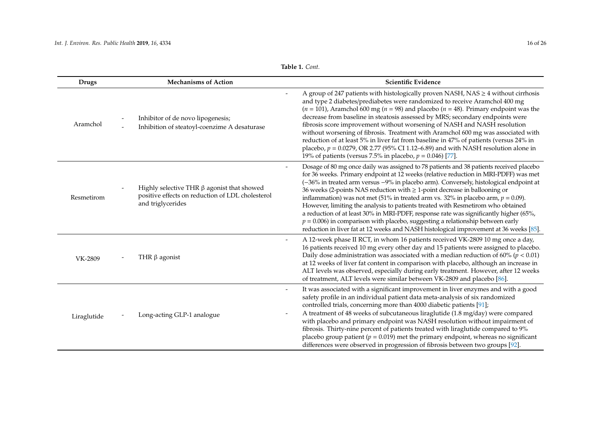| Table 1. Cont. |  |
|----------------|--|
|----------------|--|

| <b>Drugs</b> | <b>Mechanisms of Action</b>                                                                                               | Scientific Evidence                                                                                                                                                                                                                                                                                                                                                                                                                                                                                                                                                                                                                                                                                                                                                                                         |
|--------------|---------------------------------------------------------------------------------------------------------------------------|-------------------------------------------------------------------------------------------------------------------------------------------------------------------------------------------------------------------------------------------------------------------------------------------------------------------------------------------------------------------------------------------------------------------------------------------------------------------------------------------------------------------------------------------------------------------------------------------------------------------------------------------------------------------------------------------------------------------------------------------------------------------------------------------------------------|
| Aramchol     | Inhibitor of de novo lipogenesis;<br>Inhibition of steatoyl-coenzime A desaturase                                         | A group of 247 patients with histologically proven NASH, NAS $\geq$ 4 without cirrhosis<br>and type 2 diabetes/prediabetes were randomized to receive Aramchol 400 mg<br>( $n = 101$ ), Aramchol 600 mg ( $n = 98$ ) and placebo ( $n = 48$ ). Primary endpoint was the<br>decrease from baseline in steatosis assessed by MRS; secondary endpoints were<br>fibrosis score improvement without worsening of NASH and NASH resolution<br>without worsening of fibrosis. Treatment with Aramchol 600 mg was associated with<br>reduction of at least 5% in liver fat from baseline in 47% of patients (versus 24% in<br>placebo, $p = 0.0279$ , OR 2.77 (95% CI 1.12–6.89) and with NASH resolution alone in<br>19% of patients (versus 7.5% in placebo, $p = 0.046$ ) [77].                                  |
| Resmetirom   | Highly selective THR $\beta$ agonist that showed<br>positive effects on reduction of LDL cholesterol<br>and triglycerides | Dosage of 80 mg once daily was assigned to 78 patients and 38 patients received placebo<br>for 36 weeks. Primary endpoint at 12 weeks (relative reduction in MRI-PDFF) was met<br>(-36% in treated arm versus -9% in placebo arm). Conversely, histological endpoint at<br>36 weeks (2-points NAS reduction with $\geq$ 1-point decrease in ballooning or<br>inflammation) was not met (51% in treated arm vs. 32% in placebo arm, $p = 0.09$ ).<br>However, limiting the analysis to patients treated with Resmetirom who obtained<br>a reduction of at least 30% in MRI-PDFF, response rate was significantly higher (65%,<br>$p = 0.006$ ) in comparison with placebo, suggesting a relationship between early<br>reduction in liver fat at 12 weeks and NASH histological improvement at 36 weeks [85]. |
| VK-2809      | THR $\beta$ agonist                                                                                                       | A 12-week phase II RCT, in whom 16 patients received VK-2809 10 mg once a day,<br>16 patients received 10 mg every other day and 15 patients were assigned to placebo.<br>Daily dose administration was associated with a median reduction of 60% ( $\bar{p}$ < 0.01)<br>at 12 weeks of liver fat content in comparison with placebo, although an increase in<br>ALT levels was observed, especially during early treatment. However, after 12 weeks<br>of treatment, ALT levels were similar between VK-2809 and placebo [86].                                                                                                                                                                                                                                                                             |
| Liraglutide  | Long-acting GLP-1 analogue                                                                                                | It was associated with a significant improvement in liver enzymes and with a good<br>$\overline{\phantom{a}}$<br>safety profile in an individual patient data meta-analysis of six randomized<br>controlled trials, concerning more than 4000 diabetic patients [91];<br>A treatment of 48 weeks of subcutaneous liraglutide (1.8 mg/day) were compared<br>with placebo and primary endpoint was NASH resolution without impairment of<br>fibrosis. Thirty-nine percent of patients treated with liraglutide compared to 9%<br>placebo group patient ( $p = 0.019$ ) met the primary endpoint, whereas no significant<br>differences were observed in progression of fibrosis between two groups [92].                                                                                                      |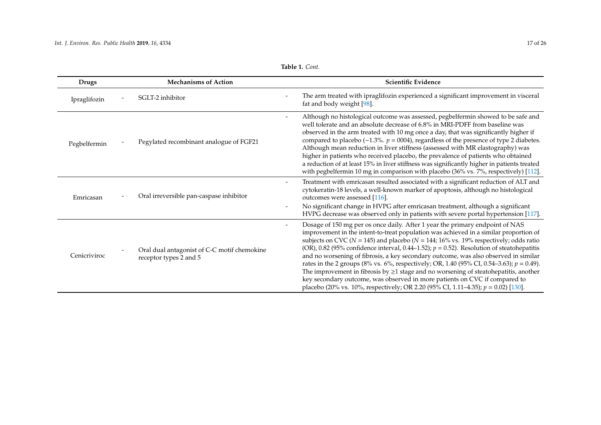| <b>Drugs</b> | <b>Mechanisms of Action</b>                                           | Scientific Evidence                                                                                                                                                                                                                                                                                                                                                                                                                                                                                                                                                                                                                                                                                                                                                                                                             |
|--------------|-----------------------------------------------------------------------|---------------------------------------------------------------------------------------------------------------------------------------------------------------------------------------------------------------------------------------------------------------------------------------------------------------------------------------------------------------------------------------------------------------------------------------------------------------------------------------------------------------------------------------------------------------------------------------------------------------------------------------------------------------------------------------------------------------------------------------------------------------------------------------------------------------------------------|
| Ipraglifozin | SGLT-2 inhibitor                                                      | The arm treated with ipraglifozin experienced a significant improvement in visceral<br>fat and body weight [98].                                                                                                                                                                                                                                                                                                                                                                                                                                                                                                                                                                                                                                                                                                                |
| Pegbelfermin | Pegylated recombinant analogue of FGF21                               | Although no histological outcome was assessed, pegbelfermin showed to be safe and<br>well tolerate and an absolute decrease of 6.8% in MRI-PDFF from baseline was<br>observed in the arm treated with 10 mg once a day, that was significantly higher if<br>compared to placebo ( $-1.3\%$ . $p = 0004$ ), regardless of the presence of type 2 diabetes.<br>Although mean reduction in liver stiffness (assessed with MR elastography) was<br>higher in patients who received placebo, the prevalence of patients who obtained<br>a reduction of at least 15% in liver stiffness was significantly higher in patients treated<br>with pegbelfermin 10 mg in comparison with placebo (36% vs. 7%, respectively) [112].                                                                                                          |
| Emricasan    | Oral irreversible pan-caspase inhibitor                               | Treatment with emricasan resulted associated with a significant reduction of ALT and<br>cytokeratin-18 levels, a well-known marker of apoptosis, although no histological<br>outcomes were assessed [116].<br>No significant change in HVPG after emricasan treatment, although a significant<br>HVPG decrease was observed only in patients with severe portal hypertension [117].                                                                                                                                                                                                                                                                                                                                                                                                                                             |
| Cenicriviroc | Oral dual antagonist of C-C motif chemokine<br>receptor types 2 and 5 | Dosage of 150 mg per os once daily. After 1 year the primary endpoint of NAS<br>improvement in the intent-to-treat population was achieved in a similar proportion of<br>subjects on CVC ( $N = 145$ ) and placebo ( $N = 144$ ; 16% vs. 19% respectively; odds ratio<br>(OR), 0.82 (95% confidence interval, 0.44–1.52); $p = 0.52$ ). Resolution of steatohepatitis<br>and no worsening of fibrosis, a key secondary outcome, was also observed in similar<br>rates in the 2 groups (8% vs. 6%, respectively; OR, 1.40 (95% CI, 0.54–3.63); $p = 0.49$ ).<br>The improvement in fibrosis by $\geq 1$ stage and no worsening of steatohepatitis, another<br>key secondary outcome, was observed in more patients on CVC if compared to<br>placebo (20% vs. 10%, respectively; OR 2.20 (95% CI, 1.11-4.35); $p = 0.02$ ) [130]. |

## **Table 1.** *Cont.*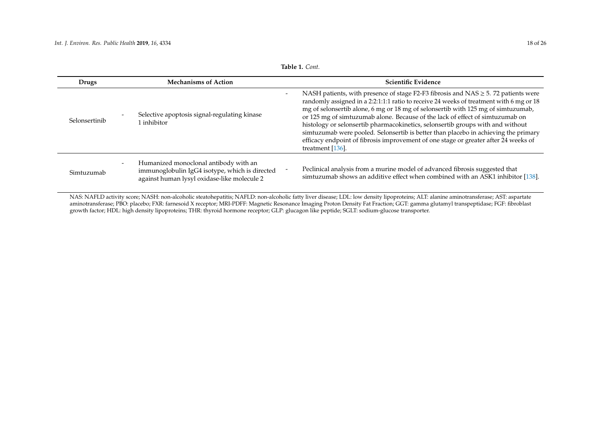| Drugs         | <b>Mechanisms of Action</b>                                                                                                            | Scientific Evidence                                                                                                                                                                                                                                                                                                                                                                                                                                                                                                                                                                                                                            |
|---------------|----------------------------------------------------------------------------------------------------------------------------------------|------------------------------------------------------------------------------------------------------------------------------------------------------------------------------------------------------------------------------------------------------------------------------------------------------------------------------------------------------------------------------------------------------------------------------------------------------------------------------------------------------------------------------------------------------------------------------------------------------------------------------------------------|
| Selonsertinib | Selective apoptosis signal-regulating kinase<br>l inhibitor                                                                            | NASH patients, with presence of stage F2-F3 fibrosis and NAS $\geq$ 5. 72 patients were<br>randomly assigned in a 2:2:1:1:1 ratio to receive 24 weeks of treatment with 6 mg or 18<br>mg of selonsertib alone, 6 mg or 18 mg of selonsertib with 125 mg of simtuzumab,<br>or 125 mg of simtuzumab alone. Because of the lack of effect of simtuzumab on<br>histology or selonsertib pharmacokinetics, selonsertib groups with and without<br>simtuzumab were pooled. Selonsertib is better than placebo in achieving the primary<br>efficacy endpoint of fibrosis improvement of one stage or greater after 24 weeks of<br>treatment $[136]$ . |
| Simtuzumab    | Humanized monoclonal antibody with an<br>immunoglobulin IgG4 isotype, which is directed<br>against human lysyl oxidase-like molecule 2 | Peclinical analysis from a murine model of advanced fibrosis suggested that<br>simtuzumab shows an additive effect when combined with an ASK1 inhibitor [138].                                                                                                                                                                                                                                                                                                                                                                                                                                                                                 |

<span id="page-17-0"></span>NAS: NAFLD activity score; NASH: non-alcoholic steatohepatitis; NAFLD: non-alcoholic fatty liver disease; LDL: low density lipoproteins; ALT: alanine aminotransferase; AST: aspartate aminotransferase; PBO: placebo; FXR: farnesoid X receptor; MRI-PDFF: Magnetic Resonance Imaging Proton Density Fat Fraction; GGT: gamma glutamyl transpeptidase; FGF: fibroblast growth factor; HDL: high density lipoproteins; THR: thyroid hormone receptor; GLP: glucagon like peptide; SGLT: sodium-glucose transporter.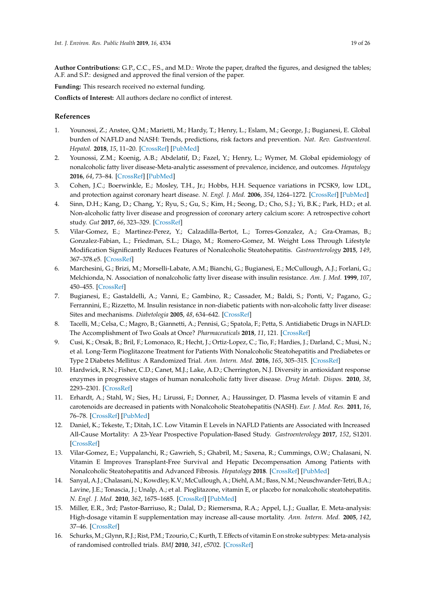**Author Contributions:** G.P., C.C., F.S., and M.D.: Wrote the paper, drafted the figures, and designed the tables; A.F. and S.P.: designed and approved the final version of the paper.

**Funding:** This research received no external funding.

**Conflicts of Interest:** All authors declare no conflict of interest.

## **References**

- <span id="page-18-0"></span>1. Younossi, Z.; Anstee, Q.M.; Marietti, M.; Hardy, T.; Henry, L.; Eslam, M.; George, J.; Bugianesi, E. Global burden of NAFLD and NASH: Trends, predictions, risk factors and prevention. *Nat. Rev. Gastroenterol. Hepatol.* **2018**, *15*, 11–20. [\[CrossRef\]](http://dx.doi.org/10.1038/nrgastro.2017.109) [\[PubMed\]](http://www.ncbi.nlm.nih.gov/pubmed/28930295)
- <span id="page-18-15"></span><span id="page-18-1"></span>2. Younossi, Z.M.; Koenig, A.B.; Abdelatif, D.; Fazel, Y.; Henry, L.; Wymer, M. Global epidemiology of nonalcoholic fatty liver disease-Meta-analytic assessment of prevalence, incidence, and outcomes. *Hepatology* **2016**, *64*, 73–84. [\[CrossRef\]](http://dx.doi.org/10.1002/hep.28431) [\[PubMed\]](http://www.ncbi.nlm.nih.gov/pubmed/26707365)
- <span id="page-18-2"></span>3. Cohen, J.C.; Boerwinkle, E.; Mosley, T.H., Jr.; Hobbs, H.H. Sequence variations in PCSK9, low LDL, and protection against coronary heart disease. *N. Engl. J. Med.* **2006**, *354*, 1264–1272. [\[CrossRef\]](http://dx.doi.org/10.1056/NEJMoa054013) [\[PubMed\]](http://www.ncbi.nlm.nih.gov/pubmed/16554528)
- <span id="page-18-3"></span>4. Sinn, D.H.; Kang, D.; Chang, Y.; Ryu, S.; Gu, S.; Kim, H.; Seong, D.; Cho, S.J.; Yi, B.K.; Park, H.D.; et al. Non-alcoholic fatty liver disease and progression of coronary artery calcium score: A retrospective cohort study. *Gut* **2017**, *66*, 323–329. [\[CrossRef\]](http://dx.doi.org/10.1136/gutjnl-2016-311854)
- <span id="page-18-4"></span>5. Vilar-Gomez, E.; Martinez-Perez, Y.; Calzadilla-Bertot, L.; Torres-Gonzalez, A.; Gra-Oramas, B.; Gonzalez-Fabian, L.; Friedman, S.L.; Diago, M.; Romero-Gomez, M. Weight Loss Through Lifestyle Modification Significantly Reduces Features of Nonalcoholic Steatohepatitis. *Gastroenterology* **2015**, *149*, 367–378.e5. [\[CrossRef\]](http://dx.doi.org/10.1053/j.gastro.2015.04.005)
- <span id="page-18-16"></span><span id="page-18-5"></span>6. Marchesini, G.; Brizi, M.; Morselli-Labate, A.M.; Bianchi, G.; Bugianesi, E.; McCullough, A.J.; Forlani, G.; Melchionda, N. Association of nonalcoholic fatty liver disease with insulin resistance. *Am. J. Med.* **1999**, *107*, 450–455. [\[CrossRef\]](http://dx.doi.org/10.1016/S0002-9343(99)00271-5)
- <span id="page-18-17"></span><span id="page-18-6"></span>7. Bugianesi, E.; Gastaldelli, A.; Vanni, E.; Gambino, R.; Cassader, M.; Baldi, S.; Ponti, V.; Pagano, G.; Ferrannini, E.; Rizzetto, M. Insulin resistance in non-diabetic patients with non-alcoholic fatty liver disease: Sites and mechanisms. *Diabetologia* **2005**, *48*, 634–642. [\[CrossRef\]](http://dx.doi.org/10.1007/s00125-005-1682-x)
- <span id="page-18-7"></span>8. Tacelli, M.; Celsa, C.; Magro, B.; Giannetti, A.; Pennisi, G.; Spatola, F.; Petta, S. Antidiabetic Drugs in NAFLD: The Accomplishment of Two Goals at Once? *Pharmaceuticals* **2018**, *11*, 121. [\[CrossRef\]](http://dx.doi.org/10.3390/ph11040121)
- <span id="page-18-8"></span>9. Cusi, K.; Orsak, B.; Bril, F.; Lomonaco, R.; Hecht, J.; Ortiz-Lopez, C.; Tio, F.; Hardies, J.; Darland, C.; Musi, N.; et al. Long-Term Pioglitazone Treatment for Patients With Nonalcoholic Steatohepatitis and Prediabetes or Type 2 Diabetes Mellitus: A Randomized Trial. *Ann. Intern. Med.* **2016**, *165*, 305–315. [\[CrossRef\]](http://dx.doi.org/10.7326/M15-1774)
- <span id="page-18-9"></span>10. Hardwick, R.N.; Fisher, C.D.; Canet, M.J.; Lake, A.D.; Cherrington, N.J. Diversity in antioxidant response enzymes in progressive stages of human nonalcoholic fatty liver disease. *Drug Metab. Dispos.* **2010**, *38*, 2293–2301. [\[CrossRef\]](http://dx.doi.org/10.1124/dmd.110.035006)
- <span id="page-18-10"></span>11. Erhardt, A.; Stahl, W.; Sies, H.; Lirussi, F.; Donner, A.; Haussinger, D. Plasma levels of vitamin E and carotenoids are decreased in patients with Nonalcoholic Steatohepatitis (NASH). *Eur. J. Med. Res.* **2011**, *16*, 76–78. [\[CrossRef\]](http://dx.doi.org/10.1186/2047-783X-16-2-76) [\[PubMed\]](http://www.ncbi.nlm.nih.gov/pubmed/21463986)
- <span id="page-18-11"></span>12. Daniel, K.; Tekeste, T.; Ditah, I.C. Low Vitamin E Levels in NAFLD Patients are Associated with Increased All-Cause Mortality: A 23-Year Prospective Population-Based Study. *Gastroenterology* **2017**, *152*, S1201. [\[CrossRef\]](http://dx.doi.org/10.1016/S0016-5085(17)34000-3)
- <span id="page-18-12"></span>13. Vilar-Gomez, E.; Vuppalanchi, R.; Gawrieh, S.; Ghabril, M.; Saxena, R.; Cummings, O.W.; Chalasani, N. Vitamin E Improves Transplant-Free Survival and Hepatic Decompensation Among Patients with Nonalcoholic Steatohepatitis and Advanced Fibrosis. *Hepatology* **2018**. [\[CrossRef\]](http://dx.doi.org/10.1002/hep.30368) [\[PubMed\]](http://www.ncbi.nlm.nih.gov/pubmed/30506586)
- <span id="page-18-13"></span>14. Sanyal, A.J.; Chalasani, N.; Kowdley, K.V.; McCullough, A.; Diehl, A.M.; Bass, N.M.; Neuschwander-Tetri, B.A.; Lavine, J.E.; Tonascia, J.; Unalp, A.; et al. Pioglitazone, vitamin E, or placebo for nonalcoholic steatohepatitis. *N. Engl. J. Med.* **2010**, *362*, 1675–1685. [\[CrossRef\]](http://dx.doi.org/10.1056/NEJMoa0907929) [\[PubMed\]](http://www.ncbi.nlm.nih.gov/pubmed/20427778)
- <span id="page-18-14"></span>15. Miller, E.R., 3rd; Pastor-Barriuso, R.; Dalal, D.; Riemersma, R.A.; Appel, L.J.; Guallar, E. Meta-analysis: High-dosage vitamin E supplementation may increase all-cause mortality. *Ann. Intern. Med.* **2005**, *142*, 37–46. [\[CrossRef\]](http://dx.doi.org/10.7326/0003-4819-142-1-200501040-00110)
- 16. Schurks, M.; Glynn, R.J.; Rist, P.M.; Tzourio, C.; Kurth, T. Effects of vitamin E on stroke subtypes: Meta-analysis of randomised controlled trials. *BMJ* **2010**, *341*, c5702. [\[CrossRef\]](http://dx.doi.org/10.1136/bmj.c5702)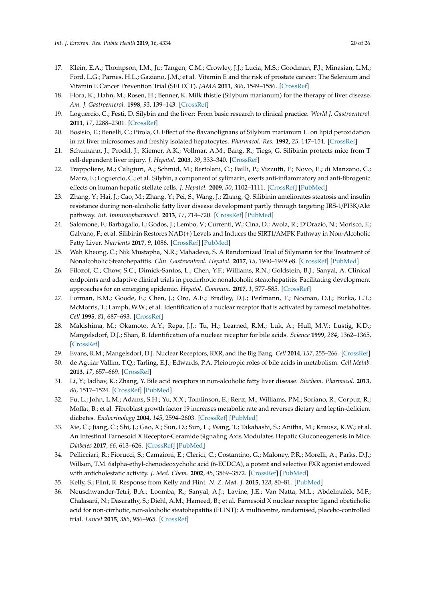- <span id="page-19-18"></span><span id="page-19-0"></span>17. Klein, E.A.; Thompson, I.M., Jr.; Tangen, C.M.; Crowley, J.J.; Lucia, M.S.; Goodman, P.J.; Minasian, L.M.; Ford, L.G.; Parnes, H.L.; Gaziano, J.M.; et al. Vitamin E and the risk of prostate cancer: The Selenium and Vitamin E Cancer Prevention Trial (SELECT). *JAMA* **2011**, *306*, 1549–1556. [\[CrossRef\]](http://dx.doi.org/10.1001/jama.2011.1437)
- <span id="page-19-1"></span>18. Flora, K.; Hahn, M.; Rosen, H.; Benner, K. Milk thistle (Silybum marianum) for the therapy of liver disease. *Am. J. Gastroenterol.* **1998**, *93*, 139–143. [\[CrossRef\]](http://dx.doi.org/10.1111/j.1572-0241.1998.00139.x)
- <span id="page-19-2"></span>19. Loguercio, C.; Festi, D. Silybin and the liver: From basic research to clinical practice. *World J. Gastroenterol.* **2011**, *17*, 2288–2301. [\[CrossRef\]](http://dx.doi.org/10.3748/wjg.v17.i18.2288)
- 20. Bosisio, E.; Benelli, C.; Pirola, O. Effect of the flavanolignans of Silybum marianum L. on lipid peroxidation in rat liver microsomes and freshly isolated hepatocytes. *Pharmacol. Res.* **1992**, *25*, 147–154. [\[CrossRef\]](http://dx.doi.org/10.1016/1043-6618(92)91383-R)
- 21. Schumann, J.; Prockl, J.; Kiemer, A.K.; Vollmar, A.M.; Bang, R.; Tiegs, G. Silibinin protects mice from T cell-dependent liver injury. *J. Hepatol.* **2003**, *39*, 333–340. [\[CrossRef\]](http://dx.doi.org/10.1016/S0168-8278(03)00239-3)
- <span id="page-19-3"></span>22. Trappoliere, M.; Caligiuri, A.; Schmid, M.; Bertolani, C.; Failli, P.; Vizzutti, F.; Novo, E.; di Manzano, C.; Marra, F.; Loguercio, C.; et al. Silybin, a component of sylimarin, exerts anti-inflammatory and anti-fibrogenic effects on human hepatic stellate cells. *J. Hepatol.* **2009**, *50*, 1102–1111. [\[CrossRef\]](http://dx.doi.org/10.1016/j.jhep.2009.02.023) [\[PubMed\]](http://www.ncbi.nlm.nih.gov/pubmed/19398228)
- <span id="page-19-4"></span>23. Zhang, Y.; Hai, J.; Cao, M.; Zhang, Y.; Pei, S.; Wang, J.; Zhang, Q. Silibinin ameliorates steatosis and insulin resistance during non-alcoholic fatty liver disease development partly through targeting IRS-1/PI3K/Akt pathway. *Int. Immunopharmacol.* **2013**, *17*, 714–720. [\[CrossRef\]](http://dx.doi.org/10.1016/j.intimp.2013.08.019) [\[PubMed\]](http://www.ncbi.nlm.nih.gov/pubmed/24036369)
- <span id="page-19-5"></span>24. Salomone, F.; Barbagallo, I.; Godos, J.; Lembo, V.; Currenti, W.; Cina, D.; Avola, R.; D'Orazio, N.; Morisco, F.; Galvano, F.; et al. Silibinin Restores NAD(+) Levels and Induces the SIRT1/AMPK Pathway in Non-Alcoholic Fatty Liver. *Nutrients* **2017**, *9*, 1086. [\[CrossRef\]](http://dx.doi.org/10.3390/nu9101086) [\[PubMed\]](http://www.ncbi.nlm.nih.gov/pubmed/28973994)
- <span id="page-19-6"></span>25. Wah Kheong, C.; Nik Mustapha, N.R.; Mahadeva, S. A Randomized Trial of Silymarin for the Treatment of Nonalcoholic Steatohepatitis. *Clin. Gastroenterol. Hepatol.* **2017**, *15*, 1940–1949.e8. [\[CrossRef\]](http://dx.doi.org/10.1016/j.cgh.2017.04.016) [\[PubMed\]](http://www.ncbi.nlm.nih.gov/pubmed/28419855)
- <span id="page-19-7"></span>26. Filozof, C.; Chow, S.C.; Dimick-Santos, L.; Chen, Y.F.; Williams, R.N.; Goldstein, B.J.; Sanyal, A. Clinical endpoints and adaptive clinical trials in precirrhotic nonalcoholic steatohepatitis: Facilitating development approaches for an emerging epidemic. *Hepatol. Commun.* **2017**, *1*, 577–585. [\[CrossRef\]](http://dx.doi.org/10.1002/hep4.1079)
- <span id="page-19-19"></span><span id="page-19-8"></span>27. Forman, B.M.; Goode, E.; Chen, J.; Oro, A.E.; Bradley, D.J.; Perlmann, T.; Noonan, D.J.; Burka, L.T.; McMorris, T.; Lamph, W.W.; et al. Identification of a nuclear receptor that is activated by farnesol metabolites. *Cell* **1995**, *81*, 687–693. [\[CrossRef\]](http://dx.doi.org/10.1016/0092-8674(95)90530-8)
- <span id="page-19-9"></span>28. Makishima, M.; Okamoto, A.Y.; Repa, J.J.; Tu, H.; Learned, R.M.; Luk, A.; Hull, M.V.; Lustig, K.D.; Mangelsdorf, D.J.; Shan, B. Identification of a nuclear receptor for bile acids. *Science* **1999**, *284*, 1362–1365. [\[CrossRef\]](http://dx.doi.org/10.1126/science.284.5418.1362)
- <span id="page-19-10"></span>29. Evans, R.M.; Mangelsdorf, D.J. Nuclear Receptors, RXR, and the Big Bang. *Cell* **2014**, *157*, 255–266. [\[CrossRef\]](http://dx.doi.org/10.1016/j.cell.2014.03.012)
- <span id="page-19-11"></span>30. de Aguiar Vallim, T.Q.; Tarling, E.J.; Edwards, P.A. Pleiotropic roles of bile acids in metabolism. *Cell Metab.* **2013**, *17*, 657–669. [\[CrossRef\]](http://dx.doi.org/10.1016/j.cmet.2013.03.013)
- <span id="page-19-12"></span>31. Li, Y.; Jadhav, K.; Zhang, Y. Bile acid receptors in non-alcoholic fatty liver disease. *Biochem. Pharmacol.* **2013**, *86*, 1517–1524. [\[CrossRef\]](http://dx.doi.org/10.1016/j.bcp.2013.08.015) [\[PubMed\]](http://www.ncbi.nlm.nih.gov/pubmed/23988487)
- <span id="page-19-13"></span>32. Fu, L.; John, L.M.; Adams, S.H.; Yu, X.X.; Tomlinson, E.; Renz, M.; Williams, P.M.; Soriano, R.; Corpuz, R.; Moffat, B.; et al. Fibroblast growth factor 19 increases metabolic rate and reverses dietary and leptin-deficient diabetes. *Endocrinology* **2004**, *145*, 2594–2603. [\[CrossRef\]](http://dx.doi.org/10.1210/en.2003-1671) [\[PubMed\]](http://www.ncbi.nlm.nih.gov/pubmed/14976145)
- <span id="page-19-14"></span>33. Xie, C.; Jiang, C.; Shi, J.; Gao, X.; Sun, D.; Sun, L.; Wang, T.; Takahashi, S.; Anitha, M.; Krausz, K.W.; et al. An Intestinal Farnesoid X Receptor-Ceramide Signaling Axis Modulates Hepatic Gluconeogenesis in Mice. *Diabetes* **2017**, *66*, 613–626. [\[CrossRef\]](http://dx.doi.org/10.2337/db16-0663) [\[PubMed\]](http://www.ncbi.nlm.nih.gov/pubmed/28223344)
- <span id="page-19-15"></span>34. Pellicciari, R.; Fiorucci, S.; Camaioni, E.; Clerici, C.; Costantino, G.; Maloney, P.R.; Morelli, A.; Parks, D.J.; Willson, T.M. 6alpha-ethyl-chenodeoxycholic acid (6-ECDCA), a potent and selective FXR agonist endowed with anticholestatic activity. *J. Med. Chem.* **2002**, *45*, 3569–3572. [\[CrossRef\]](http://dx.doi.org/10.1021/jm025529g) [\[PubMed\]](http://www.ncbi.nlm.nih.gov/pubmed/12166927)
- <span id="page-19-16"></span>35. Kelly, S.; Flint, R. Response from Kelly and Flint. *N. Z. Med. J.* **2015**, *128*, 80–81. [\[PubMed\]](http://www.ncbi.nlm.nih.gov/pubmed/26003963)
- <span id="page-19-17"></span>36. Neuschwander-Tetri, B.A.; Loomba, R.; Sanyal, A.J.; Lavine, J.E.; Van Natta, M.L.; Abdelmalek, M.F.; Chalasani, N.; Dasarathy, S.; Diehl, A.M.; Hameed, B.; et al. Farnesoid X nuclear receptor ligand obeticholic acid for non-cirrhotic, non-alcoholic steatohepatitis (FLINT): A multicentre, randomised, placebo-controlled trial. *Lancet* **2015**, *385*, 956–965. [\[CrossRef\]](http://dx.doi.org/10.1016/S0140-6736(14)61933-4)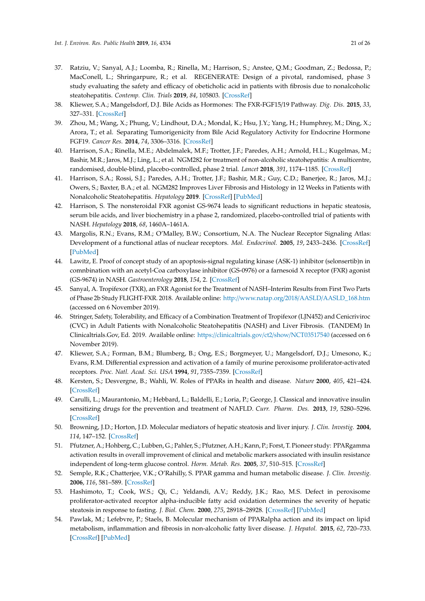- <span id="page-20-19"></span><span id="page-20-18"></span><span id="page-20-17"></span><span id="page-20-0"></span>37. Ratziu, V.; Sanyal, A.J.; Loomba, R.; Rinella, M.; Harrison, S.; Anstee, Q.M.; Goodman, Z.; Bedossa, P.; MacConell, L.; Shringarpure, R.; et al. REGENERATE: Design of a pivotal, randomised, phase 3 study evaluating the safety and efficacy of obeticholic acid in patients with fibrosis due to nonalcoholic steatohepatitis. *Contemp. Clin. Trials* **2019**, *84*, 105803. [\[CrossRef\]](http://dx.doi.org/10.1016/j.cct.2019.06.017)
- <span id="page-20-20"></span><span id="page-20-1"></span>38. Kliewer, S.A.; Mangelsdorf, D.J. Bile Acids as Hormones: The FXR-FGF15/19 Pathway. *Dig. Dis.* **2015**, *33*, 327–331. [\[CrossRef\]](http://dx.doi.org/10.1159/000371670)
- <span id="page-20-2"></span>39. Zhou, M.; Wang, X.; Phung, V.; Lindhout, D.A.; Mondal, K.; Hsu, J.Y.; Yang, H.; Humphrey, M.; Ding, X.; Arora, T.; et al. Separating Tumorigenicity from Bile Acid Regulatory Activity for Endocrine Hormone FGF19. *Cancer Res.* **2014**, *74*, 3306–3316. [\[CrossRef\]](http://dx.doi.org/10.1158/0008-5472.CAN-14-0208)
- <span id="page-20-3"></span>40. Harrison, S.A.; Rinella, M.E.; Abdelmalek, M.F.; Trotter, J.F.; Paredes, A.H.; Arnold, H.L.; Kugelmas, M.; Bashir, M.R.; Jaros, M.J.; Ling, L.; et al. NGM282 for treatment of non-alcoholic steatohepatitis: A multicentre, randomised, double-blind, placebo-controlled, phase 2 trial. *Lancet* **2018**, *391*, 1174–1185. [\[CrossRef\]](http://dx.doi.org/10.1016/S0140-6736(18)30474-4)
- <span id="page-20-4"></span>41. Harrison, S.A.; Rossi, S.J.; Paredes, A.H.; Trotter, J.F.; Bashir, M.R.; Guy, C.D.; Banerjee, R.; Jaros, M.J.; Owers, S.; Baxter, B.A.; et al. NGM282 Improves Liver Fibrosis and Histology in 12 Weeks in Patients with Nonalcoholic Steatohepatitis. *Hepatology* **2019**. [\[CrossRef\]](http://dx.doi.org/10.1002/hep.30590) [\[PubMed\]](http://www.ncbi.nlm.nih.gov/pubmed/30805949)
- <span id="page-20-5"></span>42. Harrison, S. The nonsteroidal FXR agonist GS-9674 leads to significant reductions in hepatic steatosis, serum bile acids, and liver biochemistry in a phase 2, randomized, placebo-controlled trial of patients with NASH. *Hepatology* **2018**, *68*, 1460A–1461A.
- <span id="page-20-6"></span>43. Margolis, R.N.; Evans, R.M.; O'Malley, B.W.; Consortium, N.A. The Nuclear Receptor Signaling Atlas: Development of a functional atlas of nuclear receptors. *Mol. Endocrinol.* **2005**, *19*, 2433–2436. [\[CrossRef\]](http://dx.doi.org/10.1210/me.2004-0461) [\[PubMed\]](http://www.ncbi.nlm.nih.gov/pubmed/16051673)
- <span id="page-20-7"></span>44. Lawitz, E. Proof of concept study of an apoptosis-signal regulating kinase (ASK-1) inhibitor (selonsertib)n in comnbination with an acetyl-Coa carboxylase inhibitor (GS-0976) or a farnesoid X receptor (FXR) agonist (GS-9674) in NASH. *Gastroenterology* **2018**, *154*, 2. [\[CrossRef\]](http://dx.doi.org/10.1016/S0016-5085(18)33863-0)
- <span id="page-20-8"></span>45. Sanyal, A. Tropifexor (TXR), an FXR Agonist for the Treatment of NASH–Interim Results from First Two Parts of Phase 2b Study FLIGHT-FXR. 2018. Available online: http://www.natap.org/2018/AASLD/[AASLD\\_168.htm](http://www.natap.org/2018/AASLD/AASLD_168.htm) (accessed on 6 November 2019).
- <span id="page-20-9"></span>46. Stringer, Safety, Tolerability, and Efficacy of a Combination Treatment of Tropifexor (LJN452) and Cenicriviroc (CVC) in Adult Patients with Nonalcoholic Steatohepatitis (NASH) and Liver Fibrosis. (TANDEM) In Clinicaltrials.Gov, Ed. 2019. Available online: https://[clinicaltrials.gov](https://clinicaltrials.gov/ct2/show/NCT03517540)/ct2/show/NCT03517540 (accessed on 6 November 2019).
- <span id="page-20-10"></span>47. Kliewer, S.A.; Forman, B.M.; Blumberg, B.; Ong, E.S.; Borgmeyer, U.; Mangelsdorf, D.J.; Umesono, K.; Evans, R.M. Differential expression and activation of a family of murine peroxisome proliferator-activated receptors. *Proc. Natl. Acad. Sci. USA* **1994**, *91*, 7355–7359. [\[CrossRef\]](http://dx.doi.org/10.1073/pnas.91.15.7355)
- <span id="page-20-11"></span>48. Kersten, S.; Desvergne, B.; Wahli, W. Roles of PPARs in health and disease. *Nature* **2000**, *405*, 421–424. [\[CrossRef\]](http://dx.doi.org/10.1038/35013000)
- <span id="page-20-12"></span>49. Carulli, L.; Maurantonio, M.; Hebbard, L.; Baldelli, E.; Loria, P.; George, J. Classical and innovative insulin sensitizing drugs for the prevention and treatment of NAFLD. *Curr. Pharm. Des.* **2013**, *19*, 5280–5296. [\[CrossRef\]](http://dx.doi.org/10.2174/1381612811319290009)
- <span id="page-20-13"></span>50. Browning, J.D.; Horton, J.D. Molecular mediators of hepatic steatosis and liver injury. *J. Clin. Investig.* **2004**, *114*, 147–152. [\[CrossRef\]](http://dx.doi.org/10.1172/JCI200422422)
- 51. Pfutzner, A.; Hohberg, C.; Lubben, G.; Pahler, S.; Pfutzner, A.H.; Kann, P.; Forst, T. Pioneer study: PPARgamma activation results in overall improvement of clinical and metabolic markers associated with insulin resistance independent of long-term glucose control. *Horm. Metab. Res.* **2005**, *37*, 510–515. [\[CrossRef\]](http://dx.doi.org/10.1055/s-2005-870320)
- <span id="page-20-14"></span>52. Semple, R.K.; Chatterjee, V.K.; O'Rahilly, S. PPAR gamma and human metabolic disease. *J. Clin. Investig.* **2006**, *116*, 581–589. [\[CrossRef\]](http://dx.doi.org/10.1172/JCI28003)
- <span id="page-20-15"></span>53. Hashimoto, T.; Cook, W.S.; Qi, C.; Yeldandi, A.V.; Reddy, J.K.; Rao, M.S. Defect in peroxisome proliferator-activated receptor alpha-inducible fatty acid oxidation determines the severity of hepatic steatosis in response to fasting. *J. Biol. Chem.* **2000**, *275*, 28918–28928. [\[CrossRef\]](http://dx.doi.org/10.1074/jbc.M910350199) [\[PubMed\]](http://www.ncbi.nlm.nih.gov/pubmed/10844002)
- <span id="page-20-16"></span>54. Pawlak, M.; Lefebvre, P.; Staels, B. Molecular mechanism of PPARalpha action and its impact on lipid metabolism, inflammation and fibrosis in non-alcoholic fatty liver disease. *J. Hepatol.* **2015**, *62*, 720–733. [\[CrossRef\]](http://dx.doi.org/10.1016/j.jhep.2014.10.039) [\[PubMed\]](http://www.ncbi.nlm.nih.gov/pubmed/25450203)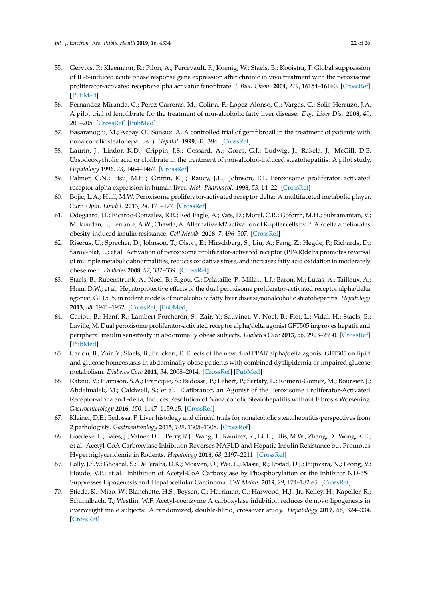- <span id="page-21-0"></span>55. Gervois, P.; Kleemann, R.; Pilon, A.; Percevault, F.; Koenig, W.; Staels, B.; Kooistra, T. Global suppression of IL-6-induced acute phase response gene expression after chronic in vivo treatment with the peroxisome proliferator-activated receptor-alpha activator fenofibrate. *J. Biol. Chem.* **2004**, *279*, 16154–16160. [\[CrossRef\]](http://dx.doi.org/10.1074/jbc.M400346200) [\[PubMed\]](http://www.ncbi.nlm.nih.gov/pubmed/14764586)
- <span id="page-21-1"></span>56. Fernandez-Miranda, C.; Perez-Carreras, M.; Colina, F.; Lopez-Alonso, G.; Vargas, C.; Solis-Herruzo, J.A. A pilot trial of fenofibrate for the treatment of non-alcoholic fatty liver disease. *Dig. Liver Dis.* **2008**, *40*, 200–205. [\[CrossRef\]](http://dx.doi.org/10.1016/j.dld.2007.10.002) [\[PubMed\]](http://www.ncbi.nlm.nih.gov/pubmed/18261709)
- 57. Basaranoglu, M.; Acbay, O.; Sonsuz, A. A controlled trial of gemfibrozil in the treatment of patients with nonalcoholic steatohepatitis. *J. Hepatol.* **1999**, *31*, 384. [\[CrossRef\]](http://dx.doi.org/10.1016/S0168-8278(99)80243-8)
- <span id="page-21-2"></span>58. Laurin, J.; Lindor, K.D.; Crippin, J.S.; Gossard, A.; Gores, G.J.; Ludwig, J.; Rakela, J.; McGill, D.B. Ursodeoxycholic acid or clofibrate in the treatment of non-alcohol-induced steatohepatitis: A pilot study. *Hepatology* **1996**, *23*, 1464–1467. [\[CrossRef\]](http://dx.doi.org/10.1002/hep.510230624)
- <span id="page-21-3"></span>59. Palmer, C.N.; Hsu, M.H.; Griffin, K.J.; Raucy, J.L.; Johnson, E.F. Peroxisome proliferator activated receptor-alpha expression in human liver. *Mol. Pharmacol.* **1998**, *53*, 14–22. [\[CrossRef\]](http://dx.doi.org/10.1124/mol.53.1.14)
- <span id="page-21-4"></span>60. Bojic, L.A.; Huff, M.W. Peroxisome proliferator-activated receptor delta: A multifaceted metabolic player. *Curr. Opin. Lipidol.* **2013**, *24*, 171–177. [\[CrossRef\]](http://dx.doi.org/10.1097/MOL.0b013e32835cc949)
- <span id="page-21-5"></span>61. Odegaard, J.I.; Ricardo-Gonzalez, R.R.; Red Eagle, A.; Vats, D.; Morel, C.R.; Goforth, M.H.; Subramanian, V.; Mukundan, L.; Ferrante, A.W.; Chawla, A. Alternative M2 activation of Kupffer cells by PPARdelta ameliorates obesity-induced insulin resistance. *Cell Metab.* **2008**, *7*, 496–507. [\[CrossRef\]](http://dx.doi.org/10.1016/j.cmet.2008.04.003)
- <span id="page-21-15"></span><span id="page-21-6"></span>62. Riserus, U.; Sprecher, D.; Johnson, T.; Olson, E.; Hirschberg, S.; Liu, A.; Fang, Z.; Hegde, P.; Richards, D.; Sarov-Blat, L.; et al. Activation of peroxisome proliferator-activated receptor (PPAR)delta promotes reversal of multiple metabolic abnormalities, reduces oxidative stress, and increases fatty acid oxidation in moderately obese men. *Diabetes* **2008**, *57*, 332–339. [\[CrossRef\]](http://dx.doi.org/10.2337/db07-1318)
- <span id="page-21-7"></span>63. Staels, B.; Rubenstrunk, A.; Noel, B.; Rigou, G.; Delataille, P.; Millatt, L.J.; Baron, M.; Lucas, A.; Tailleux, A.; Hum, D.W.; et al. Hepatoprotective effects of the dual peroxisome proliferator-activated receptor alpha/delta agonist, GFT505, in rodent models of nonalcoholic fatty liver disease/nonalcoholic steatohepatitis. *Hepatology* **2013**, *58*, 1941–1952. [\[CrossRef\]](http://dx.doi.org/10.1002/hep.26461) [\[PubMed\]](http://www.ncbi.nlm.nih.gov/pubmed/23703580)
- <span id="page-21-8"></span>64. Cariou, B.; Hanf, R.; Lambert-Porcheron, S.; Zair, Y.; Sauvinet, V.; Noel, B.; Flet, L.; Vidal, H.; Staels, B.; Laville, M. Dual peroxisome proliferator-activated receptor alpha/delta agonist GFT505 improves hepatic and peripheral insulin sensitivity in abdominally obese subjects. *Diabetes Care* **2013**, *36*, 2923–2930. [\[CrossRef\]](http://dx.doi.org/10.2337/dc12-2012) [\[PubMed\]](http://www.ncbi.nlm.nih.gov/pubmed/23715754)
- <span id="page-21-9"></span>65. Cariou, B.; Zair, Y.; Staels, B.; Bruckert, E. Effects of the new dual PPAR alpha/delta agonist GFT505 on lipid and glucose homeostasis in abdominally obese patients with combined dyslipidemia or impaired glucose metabolism. *Diabetes Care* **2011**, *34*, 2008–2014. [\[CrossRef\]](http://dx.doi.org/10.2337/dc11-0093) [\[PubMed\]](http://www.ncbi.nlm.nih.gov/pubmed/21816979)
- <span id="page-21-10"></span>66. Ratziu, V.; Harrison, S.A.; Francque, S.; Bedossa, P.; Lehert, P.; Serfaty, L.; Romero-Gomez, M.; Boursier, J.; Abdelmalek, M.; Caldwell, S.; et al. Elafibranor, an Agonist of the Peroxisome Proliferator-Activated Receptor-alpha and -delta, Induces Resolution of Nonalcoholic Steatohepatitis without Fibrosis Worsening. *Gastroenterology* **2016**, *150*, 1147–1159.e5. [\[CrossRef\]](http://dx.doi.org/10.1053/j.gastro.2016.01.038)
- <span id="page-21-11"></span>67. Kleiner, D.E.; Bedossa, P. Liver histology and clinical trials for nonalcoholic steatohepatitis-perspectives from 2 pathologists. *Gastroenterology* **2015**, *149*, 1305–1308. [\[CrossRef\]](http://dx.doi.org/10.1053/j.gastro.2015.09.015)
- <span id="page-21-12"></span>68. Goedeke, L.; Bates, J.; Vatner, D.F.; Perry, R.J.; Wang, T.; Ramirez, R.; Li, L.; Ellis, M.W.; Zhang, D.; Wong, K.E.; et al. Acetyl-CoA Carboxylase Inhibition Reverses NAFLD and Hepatic Insulin Resistance but Promotes Hypertriglyceridemia in Rodents. *Hepatology* **2018**, *68*, 2197–2211. [\[CrossRef\]](http://dx.doi.org/10.1002/hep.30097)
- <span id="page-21-13"></span>69. Lally, J.S.V.; Ghoshal, S.; DePeralta, D.K.; Moaven, O.; Wei, L.; Masia, R.; Erstad, D.J.; Fujiwara, N.; Leong, V.; Houde, V.P.; et al. Inhibition of Acetyl-CoA Carboxylase by Phosphorylation or the Inhibitor ND-654 Suppresses Lipogenesis and Hepatocellular Carcinoma. *Cell Metab.* **2019**, *29*, 174–182.e5. [\[CrossRef\]](http://dx.doi.org/10.1016/j.cmet.2018.08.020)
- <span id="page-21-14"></span>70. Stiede, K.; Miao, W.; Blanchette, H.S.; Beysen, C.; Harriman, G.; Harwood, H.J., Jr.; Kelley, H.; Kapeller, R.; Schmalbach, T.; Westlin, W.F. Acetyl-coenzyme A carboxylase inhibition reduces de novo lipogenesis in overweight male subjects: A randomized, double-blind, crossover study. *Hepatology* **2017**, *66*, 324–334. [\[CrossRef\]](http://dx.doi.org/10.1002/hep.29246)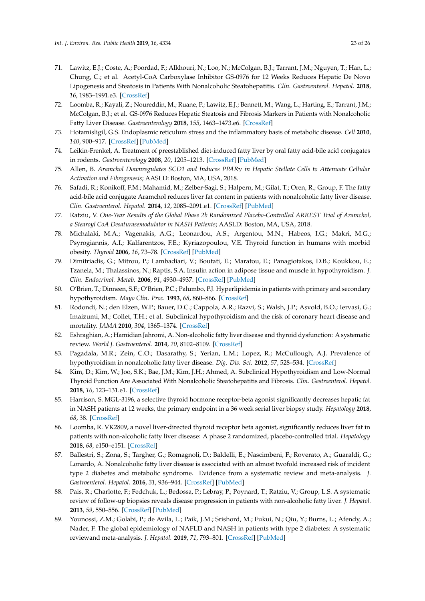- <span id="page-22-17"></span><span id="page-22-16"></span><span id="page-22-15"></span><span id="page-22-0"></span>71. Lawitz, E.J.; Coste, A.; Poordad, F.; Alkhouri, N.; Loo, N.; McColgan, B.J.; Tarrant, J.M.; Nguyen, T.; Han, L.; Chung, C.; et al. Acetyl-CoA Carboxylase Inhibitor GS-0976 for 12 Weeks Reduces Hepatic De Novo Lipogenesis and Steatosis in Patients With Nonalcoholic Steatohepatitis. *Clin. Gastroenterol. Hepatol.* **2018**, *16*, 1983–1991.e3. [\[CrossRef\]](http://dx.doi.org/10.1016/j.cgh.2018.04.042)
- <span id="page-22-1"></span>72. Loomba, R.; Kayali, Z.; Noureddin, M.; Ruane, P.; Lawitz, E.J.; Bennett, M.; Wang, L.; Harting, E.; Tarrant, J.M.; McColgan, B.J.; et al. GS-0976 Reduces Hepatic Steatosis and Fibrosis Markers in Patients with Nonalcoholic Fatty Liver Disease. *Gastroenterology* **2018**, *155*, 1463–1473.e6. [\[CrossRef\]](http://dx.doi.org/10.1053/j.gastro.2018.07.027)
- <span id="page-22-2"></span>73. Hotamisligil, G.S. Endoplasmic reticulum stress and the inflammatory basis of metabolic disease. *Cell* **2010**, *140*, 900–917. [\[CrossRef\]](http://dx.doi.org/10.1016/j.cell.2010.02.034) [\[PubMed\]](http://www.ncbi.nlm.nih.gov/pubmed/20303879)
- <span id="page-22-3"></span>74. Leikin-Frenkel, A. Treatment of preestablished diet-induced fatty liver by oral fatty acid-bile acid conjugates in rodents. *Gastroenterology* **2008**, *20*, 1205–1213. [\[CrossRef\]](http://dx.doi.org/10.1097/MEG.0b013e3282fc9743) [\[PubMed\]](http://www.ncbi.nlm.nih.gov/pubmed/18989145)
- <span id="page-22-4"></span>75. Allen, B. *Aramchol Downregulates SCD1 and Induces PPAR*γ *in Hepatic Stellate Cells to Attenuate Cellular Activation and Fibrogenesis*; AASLD: Boston, MA, USA, 2018.
- <span id="page-22-5"></span>76. Safadi, R.; Konikoff, F.M.; Mahamid, M.; Zelber-Sagi, S.; Halpern, M.; Gilat, T.; Oren, R.; Group, F. The fatty acid-bile acid conjugate Aramchol reduces liver fat content in patients with nonalcoholic fatty liver disease. *Clin. Gastroenterol. Hepatol.* **2014**, *12*, 2085–2091.e1. [\[CrossRef\]](http://dx.doi.org/10.1016/j.cgh.2014.04.038) [\[PubMed\]](http://www.ncbi.nlm.nih.gov/pubmed/24815326)
- <span id="page-22-18"></span><span id="page-22-6"></span>77. Ratziu, V. *One-Year Results of the Global Phase 2b Randomized Placebo-Controlled ARREST Trial of Aramchol, a Stearoyl CoA Desaturasemodulator in NASH Patients*; AASLD: Boston, MA, USA, 2018.
- <span id="page-22-7"></span>78. Michalaki, M.A.; Vagenakis, A.G.; Leonardou, A.S.; Argentou, M.N.; Habeos, I.G.; Makri, M.G.; Psyrogiannis, A.I.; Kalfarentzos, F.E.; Kyriazopoulou, V.E. Thyroid function in humans with morbid obesity. *Thyroid* **2006**, *16*, 73–78. [\[CrossRef\]](http://dx.doi.org/10.1089/thy.2006.16.73) [\[PubMed\]](http://www.ncbi.nlm.nih.gov/pubmed/16487017)
- <span id="page-22-19"></span><span id="page-22-8"></span>79. Dimitriadis, G.; Mitrou, P.; Lambadiari, V.; Boutati, E.; Maratou, E.; Panagiotakos, D.B.; Koukkou, E.; Tzanela, M.; Thalassinos, N.; Raptis, S.A. Insulin action in adipose tissue and muscle in hypothyroidism. *J. Clin. Endocrinol. Metab.* **2006**, *91*, 4930–4937. [\[CrossRef\]](http://dx.doi.org/10.1210/jc.2006-0478) [\[PubMed\]](http://www.ncbi.nlm.nih.gov/pubmed/17003097)
- 80. O'Brien, T.; Dinneen, S.F.; O'Brien, P.C.; Palumbo, P.J. Hyperlipidemia in patients with primary and secondary hypothyroidism. *Mayo Clin. Proc.* **1993**, *68*, 860–866. [\[CrossRef\]](http://dx.doi.org/10.1016/S0025-6196(12)60694-6)
- 81. Rodondi, N.; den Elzen, W.P.; Bauer, D.C.; Cappola, A.R.; Razvi, S.; Walsh, J.P.; Asvold, B.O.; Iervasi, G.; Imaizumi, M.; Collet, T.H.; et al. Subclinical hypothyroidism and the risk of coronary heart disease and mortality. *JAMA* **2010**, *304*, 1365–1374. [\[CrossRef\]](http://dx.doi.org/10.1001/jama.2010.1361)
- 82. Eshraghian, A.; Hamidian Jahromi, A. Non-alcoholic fatty liver disease and thyroid dysfunction: A systematic review. *World J. Gastroenterol.* **2014**, *20*, 8102–8109. [\[CrossRef\]](http://dx.doi.org/10.3748/wjg.v20.i25.8102)
- 83. Pagadala, M.R.; Zein, C.O.; Dasarathy, S.; Yerian, L.M.; Lopez, R.; McCullough, A.J. Prevalence of hypothyroidism in nonalcoholic fatty liver disease. *Dig. Dis. Sci.* **2012**, *57*, 528–534. [\[CrossRef\]](http://dx.doi.org/10.1007/s10620-011-2006-2)
- <span id="page-22-9"></span>84. Kim, D.; Kim, W.; Joo, S.K.; Bae, J.M.; Kim, J.H.; Ahmed, A. Subclinical Hypothyroidism and Low-Normal Thyroid Function Are Associated With Nonalcoholic Steatohepatitis and Fibrosis. *Clin. Gastroenterol. Hepatol.* **2018**, *16*, 123–131.e1. [\[CrossRef\]](http://dx.doi.org/10.1016/j.cgh.2017.08.014)
- <span id="page-22-10"></span>85. Harrison, S. MGL-3196, a selective thyroid hormone receptor-beta agonist significantly decreases hepatic fat in NASH patients at 12 weeks, the primary endpoint in a 36 week serial liver biopsy study. *Hepatology* **2018**, *68*, 38. [\[CrossRef\]](http://dx.doi.org/10.1016/S0168-8278(18)30292-7)
- <span id="page-22-11"></span>86. Loomba, R. VK2809, a novel liver-directed thyroid receptor beta agonist, significantly reduces liver fat in patients with non-alcoholic fatty liver disease: A phase 2 randomized, placebo-controlled trial. *Hepatology* **2018**, *68*, e150–e151. [\[CrossRef\]](http://dx.doi.org/10.1016/S0618-8278(19)30266-X)
- <span id="page-22-12"></span>87. Ballestri, S.; Zona, S.; Targher, G.; Romagnoli, D.; Baldelli, E.; Nascimbeni, F.; Roverato, A.; Guaraldi, G.; Lonardo, A. Nonalcoholic fatty liver disease is associated with an almost twofold increased risk of incident type 2 diabetes and metabolic syndrome. Evidence from a systematic review and meta-analysis. *J. Gastroenterol. Hepatol.* **2016**, *31*, 936–944. [\[CrossRef\]](http://dx.doi.org/10.1111/jgh.13264) [\[PubMed\]](http://www.ncbi.nlm.nih.gov/pubmed/26667191)
- <span id="page-22-13"></span>88. Pais, R.; Charlotte, F.; Fedchuk, L.; Bedossa, P.; Lebray, P.; Poynard, T.; Ratziu, V.; Group, L.S. A systematic review of follow-up biopsies reveals disease progression in patients with non-alcoholic fatty liver. *J. Hepatol.* **2013**, *59*, 550–556. [\[CrossRef\]](http://dx.doi.org/10.1016/j.jhep.2013.04.027) [\[PubMed\]](http://www.ncbi.nlm.nih.gov/pubmed/23665288)
- <span id="page-22-14"></span>89. Younossi, Z.M.; Golabi, P.; de Avila, L.; Paik, J.M.; Srishord, M.; Fukui, N.; Qiu, Y.; Burns, L.; Afendy, A.; Nader, F. The global epidemiology of NAFLD and NASH in patients with type 2 diabetes: A systematic reviewand meta-analysis. *J. Hepatol.* **2019**, *71*, 793–801. [\[CrossRef\]](http://dx.doi.org/10.1016/j.jhep.2019.06.021) [\[PubMed\]](http://www.ncbi.nlm.nih.gov/pubmed/31279902)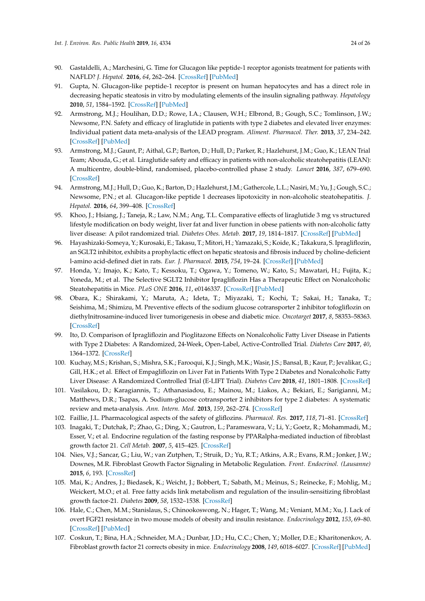- <span id="page-23-19"></span><span id="page-23-18"></span><span id="page-23-0"></span>90. Gastaldelli, A.; Marchesini, G. Time for Glucagon like peptide-1 receptor agonists treatment for patients with NAFLD? *J. Hepatol.* **2016**, *64*, 262–264. [\[CrossRef\]](http://dx.doi.org/10.1016/j.jhep.2015.11.031) [\[PubMed\]](http://www.ncbi.nlm.nih.gov/pubmed/26643784)
- <span id="page-23-1"></span>91. Gupta, N. Glucagon-like peptide-1 receptor is present on human hepatocytes and has a direct role in decreasing hepatic steatosis in vitro by modulating elements of the insulin signaling pathway. *Hepatology* **2010**, *51*, 1584–1592. [\[CrossRef\]](http://dx.doi.org/10.1002/hep.23569) [\[PubMed\]](http://www.ncbi.nlm.nih.gov/pubmed/20225248)
- <span id="page-23-20"></span><span id="page-23-2"></span>92. Armstrong, M.J.; Houlihan, D.D.; Rowe, I.A.; Clausen, W.H.; Elbrond, B.; Gough, S.C.; Tomlinson, J.W.; Newsome, P.N. Safety and efficacy of liraglutide in patients with type 2 diabetes and elevated liver enzymes: Individual patient data meta-analysis of the LEAD program. *Aliment. Pharmacol. Ther.* **2013**, *37*, 234–242. [\[CrossRef\]](http://dx.doi.org/10.1111/apt.12149) [\[PubMed\]](http://www.ncbi.nlm.nih.gov/pubmed/23163663)
- <span id="page-23-3"></span>93. Armstrong, M.J.; Gaunt, P.; Aithal, G.P.; Barton, D.; Hull, D.; Parker, R.; Hazlehurst, J.M.; Guo, K.; LEAN Trial Team; Abouda, G.; et al. Liraglutide safety and efficacy in patients with non-alcoholic steatohepatitis (LEAN): A multicentre, double-blind, randomised, placebo-controlled phase 2 study. *Lancet* **2016**, *387*, 679–690. [\[CrossRef\]](http://dx.doi.org/10.1016/S0140-6736(15)00803-X)
- <span id="page-23-4"></span>94. Armstrong, M.J.; Hull, D.; Guo, K.; Barton, D.; Hazlehurst, J.M.; Gathercole, L.L.; Nasiri, M.; Yu, J.; Gough, S.C.; Newsome, P.N.; et al. Glucagon-like peptide 1 decreases lipotoxicity in non-alcoholic steatohepatitis. *J. Hepatol.* **2016**, *64*, 399–408. [\[CrossRef\]](http://dx.doi.org/10.1016/j.jhep.2015.08.038)
- <span id="page-23-5"></span>95. Khoo, J.; Hsiang, J.; Taneja, R.; Law, N.M.; Ang, T.L. Comparative effects of liraglutide 3 mg vs structured lifestyle modification on body weight, liver fat and liver function in obese patients with non-alcoholic fatty liver disease: A pilot randomized trial. *Diabetes Obes. Metab.* **2017**, *19*, 1814–1817. [\[CrossRef\]](http://dx.doi.org/10.1111/dom.13007) [\[PubMed\]](http://www.ncbi.nlm.nih.gov/pubmed/28503750)
- <span id="page-23-6"></span>96. Hayashizaki-Someya, Y.; Kurosaki, E.; Takasu, T.; Mitori, H.; Yamazaki, S.; Koide, K.; Takakura, S. Ipragliflozin, an SGLT2 inhibitor, exhibits a prophylactic effect on hepatic steatosis and fibrosis induced by choline-deficient l-amino acid-defined diet in rats. *Eur. J. Pharmacol.* **2015**, *754*, 19–24. [\[CrossRef\]](http://dx.doi.org/10.1016/j.ejphar.2015.02.009) [\[PubMed\]](http://www.ncbi.nlm.nih.gov/pubmed/25701721)
- <span id="page-23-7"></span>97. Honda, Y.; Imajo, K.; Kato, T.; Kessoku, T.; Ogawa, Y.; Tomeno, W.; Kato, S.; Mawatari, H.; Fujita, K.; Yoneda, M.; et al. The Selective SGLT2 Inhibitor Ipragliflozin Has a Therapeutic Effect on Nonalcoholic Steatohepatitis in Mice. *PLoS ONE* **2016**, *11*, e0146337. [\[CrossRef\]](http://dx.doi.org/10.1371/journal.pone.0146337) [\[PubMed\]](http://www.ncbi.nlm.nih.gov/pubmed/26731267)
- <span id="page-23-8"></span>98. Obara, K.; Shirakami, Y.; Maruta, A.; Ideta, T.; Miyazaki, T.; Kochi, T.; Sakai, H.; Tanaka, T.; Seishima, M.; Shimizu, M. Preventive effects of the sodium glucose cotransporter 2 inhibitor tofogliflozin on diethylnitrosamine-induced liver tumorigenesis in obese and diabetic mice. *Oncotarget* **2017**, *8*, 58353–58363. [\[CrossRef\]](http://dx.doi.org/10.18632/oncotarget.16874)
- <span id="page-23-9"></span>99. Ito, D. Comparison of Ipragliflozin and Pioglitazone Effects on Nonalcoholic Fatty Liver Disease in Patients with Type 2 Diabetes: A Randomized, 24-Week, Open-Label, Active-Controlled Trial. *Diabetes Care* **2017**, *40*, 1364–1372. [\[CrossRef\]](http://dx.doi.org/10.2337/dc17-0518)
- <span id="page-23-10"></span>100. Kuchay, M.S.; Krishan, S.; Mishra, S.K.; Farooqui, K.J.; Singh, M.K.; Wasir, J.S.; Bansal, B.; Kaur, P.; Jevalikar, G.; Gill, H.K.; et al. Effect of Empagliflozin on Liver Fat in Patients With Type 2 Diabetes and Nonalcoholic Fatty Liver Disease: A Randomized Controlled Trial (E-LIFT Trial). *Diabetes Care* **2018**, *41*, 1801–1808. [\[CrossRef\]](http://dx.doi.org/10.2337/dc18-0165)
- <span id="page-23-11"></span>101. Vasilakou, D.; Karagiannis, T.; Athanasiadou, E.; Mainou, M.; Liakos, A.; Bekiari, E.; Sarigianni, M.; Matthews, D.R.; Tsapas, A. Sodium-glucose cotransporter 2 inhibitors for type 2 diabetes: A systematic review and meta-analysis. *Ann. Intern. Med.* **2013**, *159*, 262–274. [\[CrossRef\]](http://dx.doi.org/10.7326/0003-4819-159-4-201308200-00007)
- <span id="page-23-12"></span>102. Faillie, J.L. Pharmacological aspects of the safety of gliflozins. *Pharmacol. Res.* **2017**, *118*, 71–81. [\[CrossRef\]](http://dx.doi.org/10.1016/j.phrs.2016.07.001)
- <span id="page-23-13"></span>103. Inagaki, T.; Dutchak, P.; Zhao, G.; Ding, X.; Gautron, L.; Parameswara, V.; Li, Y.; Goetz, R.; Mohammadi, M.; Esser, V.; et al. Endocrine regulation of the fasting response by PPARalpha-mediated induction of fibroblast growth factor 21. *Cell Metab.* **2007**, *5*, 415–425. [\[CrossRef\]](http://dx.doi.org/10.1016/j.cmet.2007.05.003)
- <span id="page-23-14"></span>104. Nies, V.J.; Sancar, G.; Liu, W.; van Zutphen, T.; Struik, D.; Yu, R.T.; Atkins, A.R.; Evans, R.M.; Jonker, J.W.; Downes, M.R. Fibroblast Growth Factor Signaling in Metabolic Regulation. *Front. Endocrinol. (Lausanne)* **2015**, *6*, 193. [\[CrossRef\]](http://dx.doi.org/10.3389/fendo.2015.00193)
- <span id="page-23-15"></span>105. Mai, K.; Andres, J.; Biedasek, K.; Weicht, J.; Bobbert, T.; Sabath, M.; Meinus, S.; Reinecke, F.; Mohlig, M.; Weickert, M.O.; et al. Free fatty acids link metabolism and regulation of the insulin-sensitizing fibroblast growth factor-21. *Diabetes* **2009**, *58*, 1532–1538. [\[CrossRef\]](http://dx.doi.org/10.2337/db08-1775)
- <span id="page-23-16"></span>106. Hale, C.; Chen, M.M.; Stanislaus, S.; Chinookoswong, N.; Hager, T.; Wang, M.; Veniant, M.M.; Xu, J. Lack of overt FGF21 resistance in two mouse models of obesity and insulin resistance. *Endocrinology* **2012**, *153*, 69–80. [\[CrossRef\]](http://dx.doi.org/10.1210/en.2010-1262) [\[PubMed\]](http://www.ncbi.nlm.nih.gov/pubmed/22067317)
- <span id="page-23-17"></span>107. Coskun, T.; Bina, H.A.; Schneider, M.A.; Dunbar, J.D.; Hu, C.C.; Chen, Y.; Moller, D.E.; Kharitonenkov, A. Fibroblast growth factor 21 corrects obesity in mice. *Endocrinology* **2008**, *149*, 6018–6027. [\[CrossRef\]](http://dx.doi.org/10.1210/en.2008-0816) [\[PubMed\]](http://www.ncbi.nlm.nih.gov/pubmed/18687777)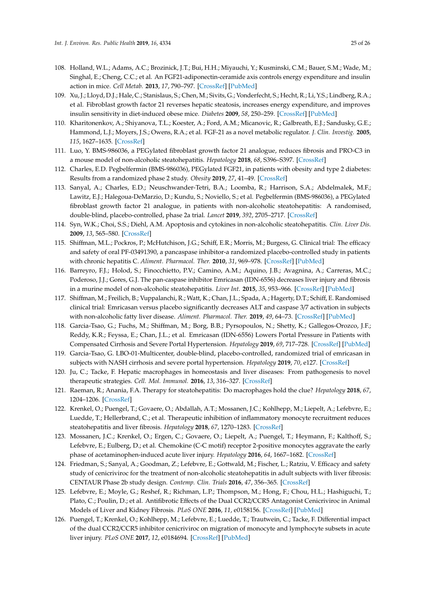- <span id="page-24-19"></span><span id="page-24-0"></span>108. Holland, W.L.; Adams, A.C.; Brozinick, J.T.; Bui, H.H.; Miyauchi, Y.; Kusminski, C.M.; Bauer, S.M.; Wade, M.; Singhal, E.; Cheng, C.C.; et al. An FGF21-adiponectin-ceramide axis controls energy expenditure and insulin action in mice. *Cell Metab.* **2013**, *17*, 790–797. [\[CrossRef\]](http://dx.doi.org/10.1016/j.cmet.2013.03.019) [\[PubMed\]](http://www.ncbi.nlm.nih.gov/pubmed/23663742)
- <span id="page-24-20"></span><span id="page-24-1"></span>109. Xu, J.; Lloyd, D.J.; Hale, C.; Stanislaus, S.; Chen, M.; Sivits, G.; Vonderfecht, S.; Hecht, R.; Li, Y.S.; Lindberg, R.A.; et al. Fibroblast growth factor 21 reverses hepatic steatosis, increases energy expenditure, and improves insulin sensitivity in diet-induced obese mice. *Diabetes* **2009**, *58*, 250–259. [\[CrossRef\]](http://dx.doi.org/10.2337/db08-0392) [\[PubMed\]](http://www.ncbi.nlm.nih.gov/pubmed/18840786)
- <span id="page-24-21"></span><span id="page-24-2"></span>110. Kharitonenkov, A.; Shiyanova, T.L.; Koester, A.; Ford, A.M.; Micanovic, R.; Galbreath, E.J.; Sandusky, G.E.; Hammond, L.J.; Moyers, J.S.; Owens, R.A.; et al. FGF-21 as a novel metabolic regulator. *J. Clin. Investig.* **2005**, *115*, 1627–1635. [\[CrossRef\]](http://dx.doi.org/10.1172/JCI23606)
- <span id="page-24-3"></span>111. Luo, Y. BMS-986036, a PEGylated fibroblast growth factor 21 analogue, reduces fibrosis and PRO-C3 in a mouse model of non-alcoholic steatohepatitis. *Hepatology* **2018**, *68*, S396–S397. [\[CrossRef\]](http://dx.doi.org/10.1016/S0168-8278(18)31028-6)
- <span id="page-24-4"></span>112. Charles, E.D. Pegbelfermin (BMS-986036), PEGylated FGF21, in patients with obesity and type 2 diabetes: Results from a randomized phase 2 study. *Obesity* **2019**, *27*, 41–49. [\[CrossRef\]](http://dx.doi.org/10.1002/oby.22344)
- <span id="page-24-5"></span>113. Sanyal, A.; Charles, E.D.; Neuschwander-Tetri, B.A.; Loomba, R.; Harrison, S.A.; Abdelmalek, M.F.; Lawitz, E.J.; Halegoua-DeMarzio, D.; Kundu, S.; Noviello, S.; et al. Pegbelfermin (BMS-986036), a PEGylated fibroblast growth factor 21 analogue, in patients with non-alcoholic steatohepatitis: A randomised, double-blind, placebo-controlled, phase 2a trial. *Lancet* **2019**, *392*, 2705–2717. [\[CrossRef\]](http://dx.doi.org/10.1016/S0140-6736(18)31785-9)
- <span id="page-24-6"></span>114. Syn, W.K.; Choi, S.S.; Diehl, A.M. Apoptosis and cytokines in non-alcoholic steatohepatitis. *Clin. Liver Dis.* **2009**, *13*, 565–580. [\[CrossRef\]](http://dx.doi.org/10.1016/j.cld.2009.07.003)
- <span id="page-24-7"></span>115. Shiffman, M.L.; Pockros, P.; McHutchison, J.G.; Schiff, E.R.; Morris, M.; Burgess, G. Clinical trial: The efficacy and safety of oral PF-03491390, a pancaspase inhibitor-a randomized placebo-controlled study in patients with chronic hepatitis C. *Aliment. Pharmacol. Ther.* **2010**, *31*, 969–978. [\[CrossRef\]](http://dx.doi.org/10.1111/j.1365-2036.2010.04264.x) [\[PubMed\]](http://www.ncbi.nlm.nih.gov/pubmed/20163376)
- <span id="page-24-8"></span>116. Barreyro, F.J.; Holod, S.; Finocchietto, P.V.; Camino, A.M.; Aquino, J.B.; Avagnina, A.; Carreras, M.C.; Poderoso, J.J.; Gores, G.J. The pan-caspase inhibitor Emricasan (IDN-6556) decreases liver injury and fibrosis in a murine model of non-alcoholic steatohepatitis. *Liver Int.* **2015**, *35*, 953–966. [\[CrossRef\]](http://dx.doi.org/10.1111/liv.12570) [\[PubMed\]](http://www.ncbi.nlm.nih.gov/pubmed/24750664)
- <span id="page-24-9"></span>117. Shiffman, M.; Freilich, B.; Vuppalanchi, R.; Watt, K.; Chan, J.L.; Spada, A.; Hagerty, D.T.; Schiff, E. Randomised clinical trial: Emricasan versus placebo significantly decreases ALT and caspase 3/7 activation in subjects with non-alcoholic fatty liver disease. *Aliment. Pharmacol. Ther.* **2019**, *49*, 64–73. [\[CrossRef\]](http://dx.doi.org/10.1111/apt.15030) [\[PubMed\]](http://www.ncbi.nlm.nih.gov/pubmed/30430605)
- <span id="page-24-10"></span>118. Garcia-Tsao, G.; Fuchs, M.; Shiffman, M.; Borg, B.B.; Pyrsopoulos, N.; Shetty, K.; Gallegos-Orozco, J.F.; Reddy, K.R.; Feyssa, E.; Chan, J.L.; et al. Emricasan (IDN-6556) Lowers Portal Pressure in Patients with Compensated Cirrhosis and Severe Portal Hypertension. *Hepatology* **2019**, *69*, 717–728. [\[CrossRef\]](http://dx.doi.org/10.1002/hep.30199) [\[PubMed\]](http://www.ncbi.nlm.nih.gov/pubmed/30063802)
- <span id="page-24-11"></span>119. Garcia-Tsao, G. LBO-01-Multicenter, double-blind, placebo-controlled, randomized trial of emricasan in subjects with NASH cirrhosis and severe portal hypertension. *Hepatology* **2019**, *70*, e127. [\[CrossRef\]](http://dx.doi.org/10.1016/S0618-8278(19)30225-7)
- <span id="page-24-12"></span>120. Ju, C.; Tacke, F. Hepatic macrophages in homeostasis and liver diseases: From pathogenesis to novel therapeutic strategies. *Cell. Mol. Immunol.* **2016**, *13*, 316–327. [\[CrossRef\]](http://dx.doi.org/10.1038/cmi.2015.104)
- <span id="page-24-13"></span>121. Raeman, R.; Anania, F.A. Therapy for steatohepatitis: Do macrophages hold the clue? *Hepatology* **2018**, *67*, 1204–1206. [\[CrossRef\]](http://dx.doi.org/10.1002/hep.29630)
- <span id="page-24-14"></span>122. Krenkel, O.; Puengel, T.; Govaere, O.; Abdallah, A.T.; Mossanen, J.C.; Kohlhepp, M.; Liepelt, A.; Lefebvre, E.; Luedde, T.; Hellerbrand, C.; et al. Therapeutic inhibition of inflammatory monocyte recruitment reduces steatohepatitis and liver fibrosis. *Hepatology* **2018**, *67*, 1270–1283. [\[CrossRef\]](http://dx.doi.org/10.1002/hep.29544)
- <span id="page-24-15"></span>123. Mossanen, J.C.; Krenkel, O.; Ergen, C.; Govaere, O.; Liepelt, A.; Puengel, T.; Heymann, F.; Kalthoff, S.; Lefebvre, E.; Eulberg, D.; et al. Chemokine (C-C motif) receptor 2-positive monocytes aggravate the early phase of acetaminophen-induced acute liver injury. *Hepatology* **2016**, *64*, 1667–1682. [\[CrossRef\]](http://dx.doi.org/10.1002/hep.28682)
- <span id="page-24-16"></span>124. Friedman, S.; Sanyal, A.; Goodman, Z.; Lefebvre, E.; Gottwald, M.; Fischer, L.; Ratziu, V. Efficacy and safety study of cenicriviroc for the treatment of non-alcoholic steatohepatitis in adult subjects with liver fibrosis: CENTAUR Phase 2b study design. *Contemp. Clin. Trials* **2016**, *47*, 356–365. [\[CrossRef\]](http://dx.doi.org/10.1016/j.cct.2016.02.012)
- <span id="page-24-17"></span>125. Lefebvre, E.; Moyle, G.; Reshef, R.; Richman, L.P.; Thompson, M.; Hong, F.; Chou, H.L.; Hashiguchi, T.; Plato, C.; Poulin, D.; et al. Antifibrotic Effects of the Dual CCR2/CCR5 Antagonist Cenicriviroc in Animal Models of Liver and Kidney Fibrosis. *PLoS ONE* **2016**, *11*, e0158156. [\[CrossRef\]](http://dx.doi.org/10.1371/journal.pone.0158156) [\[PubMed\]](http://www.ncbi.nlm.nih.gov/pubmed/27347680)
- <span id="page-24-18"></span>126. Puengel, T.; Krenkel, O.; Kohlhepp, M.; Lefebvre, E.; Luedde, T.; Trautwein, C.; Tacke, F. Differential impact of the dual CCR2/CCR5 inhibitor cenicriviroc on migration of monocyte and lymphocyte subsets in acute liver injury. *PLoS ONE* **2017**, *12*, e0184694. [\[CrossRef\]](http://dx.doi.org/10.1371/journal.pone.0184694) [\[PubMed\]](http://www.ncbi.nlm.nih.gov/pubmed/28910354)